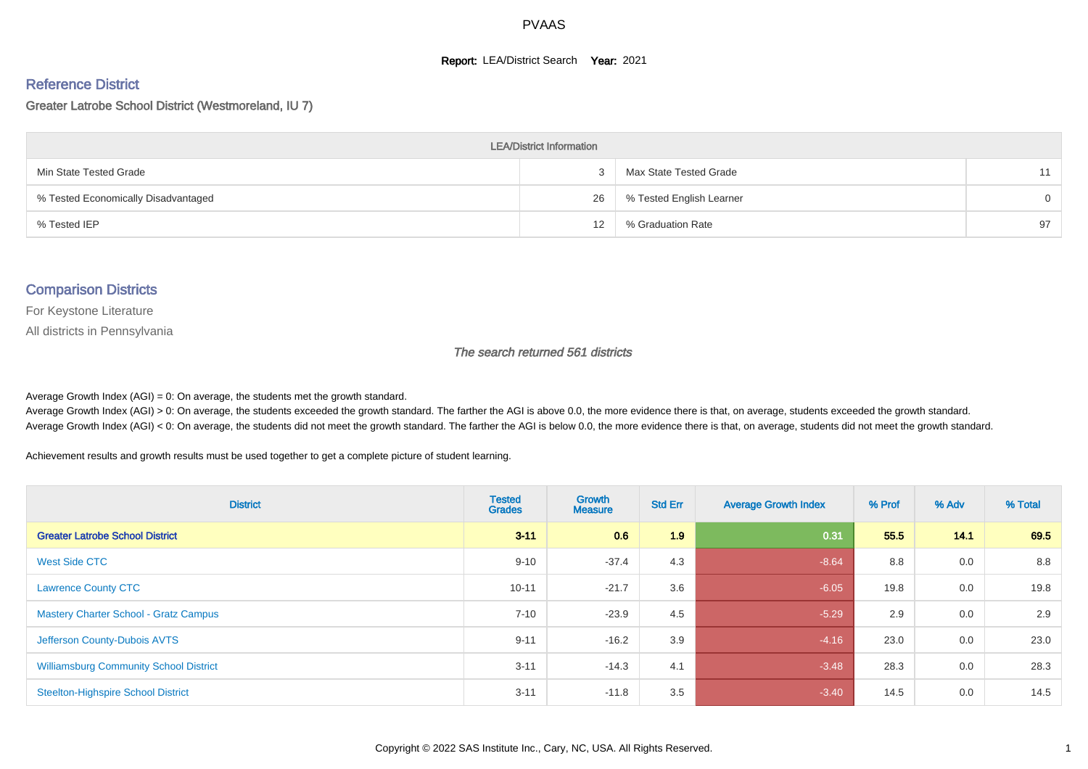#### **Report: LEA/District Search Year: 2021**

#### Reference District

Greater Latrobe School District (Westmoreland, IU 7)

| <b>LEA/District Information</b>     |    |                          |          |  |  |  |  |  |  |  |
|-------------------------------------|----|--------------------------|----------|--|--|--|--|--|--|--|
| Min State Tested Grade              |    | Max State Tested Grade   | 11       |  |  |  |  |  |  |  |
| % Tested Economically Disadvantaged | 26 | % Tested English Learner | $\Omega$ |  |  |  |  |  |  |  |
| % Tested IEP                        | 12 | % Graduation Rate        | 97       |  |  |  |  |  |  |  |

#### Comparison Districts

For Keystone Literature

All districts in Pennsylvania

The search returned 561 districts

Average Growth Index  $(AGI) = 0$ : On average, the students met the growth standard.

Average Growth Index (AGI) > 0: On average, the students exceeded the growth standard. The farther the AGI is above 0.0, the more evidence there is that, on average, students exceeded the growth standard. Average Growth Index (AGI) < 0: On average, the students did not meet the growth standard. The farther the AGI is below 0.0, the more evidence there is that, on average, students did not meet the growth standard.

Achievement results and growth results must be used together to get a complete picture of student learning.

| <b>District</b>                               | <b>Tested</b><br><b>Grades</b> | <b>Growth</b><br><b>Measure</b> | <b>Std Err</b> | <b>Average Growth Index</b> | % Prof | % Adv | % Total |
|-----------------------------------------------|--------------------------------|---------------------------------|----------------|-----------------------------|--------|-------|---------|
| <b>Greater Latrobe School District</b>        | $3 - 11$                       | 0.6                             | 1.9            | 0.31                        | 55.5   | 14.1  | 69.5    |
| <b>West Side CTC</b>                          | $9 - 10$                       | $-37.4$                         | 4.3            | $-8.64$                     | 8.8    | 0.0   | 8.8     |
| <b>Lawrence County CTC</b>                    | $10 - 11$                      | $-21.7$                         | 3.6            | $-6.05$                     | 19.8   | 0.0   | 19.8    |
| <b>Mastery Charter School - Gratz Campus</b>  | $7 - 10$                       | $-23.9$                         | 4.5            | $-5.29$                     | 2.9    | 0.0   | 2.9     |
| Jefferson County-Dubois AVTS                  | $9 - 11$                       | $-16.2$                         | 3.9            | $-4.16$                     | 23.0   | 0.0   | 23.0    |
| <b>Williamsburg Community School District</b> | $3 - 11$                       | $-14.3$                         | 4.1            | $-3.48$                     | 28.3   | 0.0   | 28.3    |
| <b>Steelton-Highspire School District</b>     | $3 - 11$                       | $-11.8$                         | 3.5            | $-3.40$                     | 14.5   | 0.0   | 14.5    |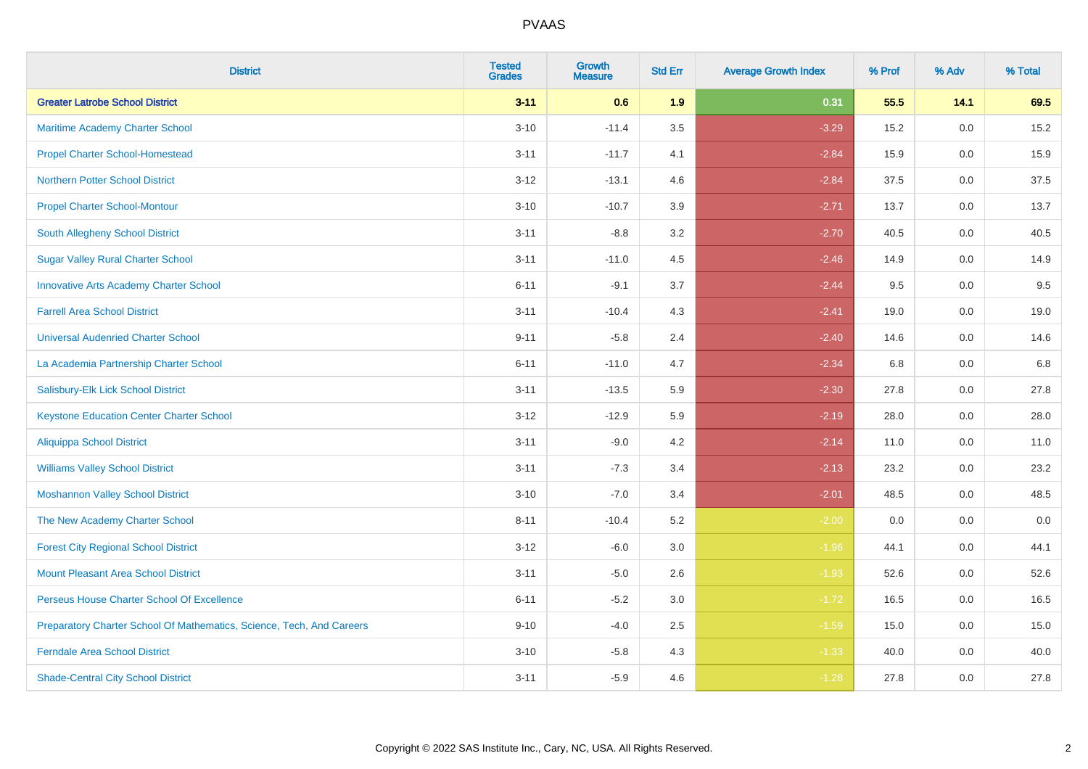| <b>District</b>                                                       | <b>Tested</b><br><b>Grades</b> | <b>Growth</b><br><b>Measure</b> | <b>Std Err</b> | <b>Average Growth Index</b> | % Prof | % Adv   | % Total |
|-----------------------------------------------------------------------|--------------------------------|---------------------------------|----------------|-----------------------------|--------|---------|---------|
| <b>Greater Latrobe School District</b>                                | $3 - 11$                       | 0.6                             | 1.9            | 0.31                        | 55.5   | 14.1    | 69.5    |
| Maritime Academy Charter School                                       | $3 - 10$                       | $-11.4$                         | 3.5            | $-3.29$                     | 15.2   | 0.0     | 15.2    |
| <b>Propel Charter School-Homestead</b>                                | $3 - 11$                       | $-11.7$                         | 4.1            | $-2.84$                     | 15.9   | 0.0     | 15.9    |
| <b>Northern Potter School District</b>                                | $3 - 12$                       | $-13.1$                         | 4.6            | $-2.84$                     | 37.5   | 0.0     | 37.5    |
| <b>Propel Charter School-Montour</b>                                  | $3 - 10$                       | $-10.7$                         | 3.9            | $-2.71$                     | 13.7   | 0.0     | 13.7    |
| South Allegheny School District                                       | $3 - 11$                       | $-8.8$                          | 3.2            | $-2.70$                     | 40.5   | 0.0     | 40.5    |
| <b>Sugar Valley Rural Charter School</b>                              | $3 - 11$                       | $-11.0$                         | 4.5            | $-2.46$                     | 14.9   | 0.0     | 14.9    |
| <b>Innovative Arts Academy Charter School</b>                         | $6 - 11$                       | $-9.1$                          | 3.7            | $-2.44$                     | 9.5    | 0.0     | 9.5     |
| <b>Farrell Area School District</b>                                   | $3 - 11$                       | $-10.4$                         | 4.3            | $-2.41$                     | 19.0   | 0.0     | 19.0    |
| <b>Universal Audenried Charter School</b>                             | $9 - 11$                       | $-5.8$                          | 2.4            | $-2.40$                     | 14.6   | 0.0     | 14.6    |
| La Academia Partnership Charter School                                | $6 - 11$                       | $-11.0$                         | 4.7            | $-2.34$                     | 6.8    | 0.0     | 6.8     |
| Salisbury-Elk Lick School District                                    | $3 - 11$                       | $-13.5$                         | 5.9            | $-2.30$                     | 27.8   | 0.0     | 27.8    |
| <b>Keystone Education Center Charter School</b>                       | $3 - 12$                       | $-12.9$                         | 5.9            | $-2.19$                     | 28.0   | 0.0     | 28.0    |
| <b>Aliquippa School District</b>                                      | $3 - 11$                       | $-9.0$                          | 4.2            | $-2.14$                     | 11.0   | 0.0     | 11.0    |
| <b>Williams Valley School District</b>                                | $3 - 11$                       | $-7.3$                          | 3.4            | $-2.13$                     | 23.2   | 0.0     | 23.2    |
| <b>Moshannon Valley School District</b>                               | $3 - 10$                       | $-7.0$                          | 3.4            | $-2.01$                     | 48.5   | $0.0\,$ | 48.5    |
| The New Academy Charter School                                        | $8 - 11$                       | $-10.4$                         | 5.2            | $-2.00$                     | 0.0    | 0.0     | 0.0     |
| <b>Forest City Regional School District</b>                           | $3 - 12$                       | $-6.0$                          | 3.0            | $-1.96$                     | 44.1   | 0.0     | 44.1    |
| <b>Mount Pleasant Area School District</b>                            | $3 - 11$                       | $-5.0$                          | 2.6            | $-1.93$                     | 52.6   | 0.0     | 52.6    |
| Perseus House Charter School Of Excellence                            | $6 - 11$                       | $-5.2$                          | 3.0            | $-1.72$                     | 16.5   | 0.0     | 16.5    |
| Preparatory Charter School Of Mathematics, Science, Tech, And Careers | $9 - 10$                       | $-4.0$                          | 2.5            | $-1.59$                     | 15.0   | 0.0     | 15.0    |
| <b>Ferndale Area School District</b>                                  | $3 - 10$                       | $-5.8$                          | 4.3            | $-1.33$                     | 40.0   | 0.0     | 40.0    |
| <b>Shade-Central City School District</b>                             | $3 - 11$                       | $-5.9$                          | 4.6            | $-1.28$                     | 27.8   | 0.0     | 27.8    |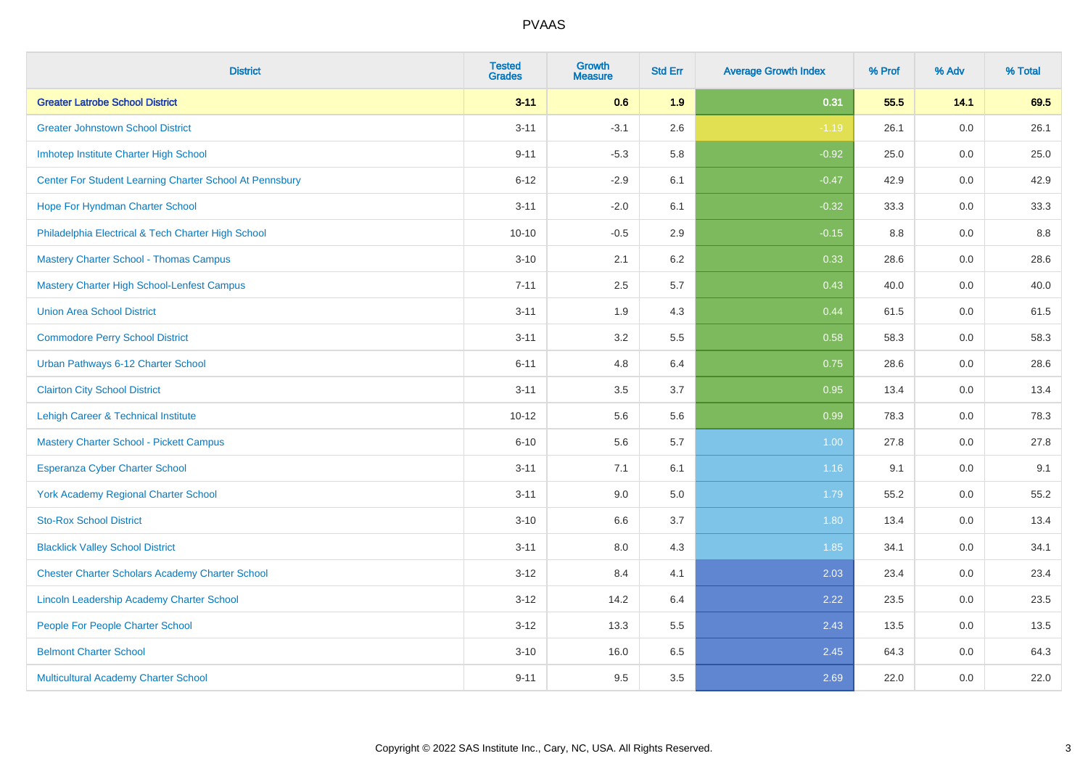| <b>District</b>                                         | <b>Tested</b><br><b>Grades</b> | <b>Growth</b><br><b>Measure</b> | <b>Std Err</b> | <b>Average Growth Index</b> | % Prof | % Adv | % Total |
|---------------------------------------------------------|--------------------------------|---------------------------------|----------------|-----------------------------|--------|-------|---------|
| <b>Greater Latrobe School District</b>                  | $3 - 11$                       | 0.6                             | 1.9            | 0.31                        | 55.5   | 14.1  | 69.5    |
| <b>Greater Johnstown School District</b>                | $3 - 11$                       | $-3.1$                          | 2.6            | $-1.19$                     | 26.1   | 0.0   | 26.1    |
| Imhotep Institute Charter High School                   | $9 - 11$                       | $-5.3$                          | 5.8            | $-0.92$                     | 25.0   | 0.0   | 25.0    |
| Center For Student Learning Charter School At Pennsbury | $6 - 12$                       | $-2.9$                          | 6.1            | $-0.47$                     | 42.9   | 0.0   | 42.9    |
| Hope For Hyndman Charter School                         | $3 - 11$                       | $-2.0$                          | 6.1            | $-0.32$                     | 33.3   | 0.0   | 33.3    |
| Philadelphia Electrical & Tech Charter High School      | $10 - 10$                      | $-0.5$                          | 2.9            | $-0.15$                     | 8.8    | 0.0   | 8.8     |
| <b>Mastery Charter School - Thomas Campus</b>           | $3 - 10$                       | 2.1                             | 6.2            | 0.33                        | 28.6   | 0.0   | 28.6    |
| <b>Mastery Charter High School-Lenfest Campus</b>       | $7 - 11$                       | 2.5                             | 5.7            | 0.43                        | 40.0   | 0.0   | 40.0    |
| <b>Union Area School District</b>                       | $3 - 11$                       | 1.9                             | 4.3            | 0.44                        | 61.5   | 0.0   | 61.5    |
| <b>Commodore Perry School District</b>                  | $3 - 11$                       | 3.2                             | 5.5            | 0.58                        | 58.3   | 0.0   | 58.3    |
| Urban Pathways 6-12 Charter School                      | $6 - 11$                       | 4.8                             | 6.4            | 0.75                        | 28.6   | 0.0   | 28.6    |
| <b>Clairton City School District</b>                    | $3 - 11$                       | 3.5                             | 3.7            | 0.95                        | 13.4   | 0.0   | 13.4    |
| Lehigh Career & Technical Institute                     | $10 - 12$                      | 5.6                             | 5.6            | 0.99                        | 78.3   | 0.0   | 78.3    |
| <b>Mastery Charter School - Pickett Campus</b>          | $6 - 10$                       | 5.6                             | 5.7            | 1.00                        | 27.8   | 0.0   | 27.8    |
| <b>Esperanza Cyber Charter School</b>                   | $3 - 11$                       | 7.1                             | 6.1            | 1.16                        | 9.1    | 0.0   | 9.1     |
| <b>York Academy Regional Charter School</b>             | $3 - 11$                       | 9.0                             | 5.0            | 1.79                        | 55.2   | 0.0   | 55.2    |
| <b>Sto-Rox School District</b>                          | $3 - 10$                       | 6.6                             | 3.7            | 1.80                        | 13.4   | 0.0   | 13.4    |
| <b>Blacklick Valley School District</b>                 | $3 - 11$                       | 8.0                             | 4.3            | 1.85                        | 34.1   | 0.0   | 34.1    |
| <b>Chester Charter Scholars Academy Charter School</b>  | $3 - 12$                       | 8.4                             | 4.1            | 2.03                        | 23.4   | 0.0   | 23.4    |
| Lincoln Leadership Academy Charter School               | $3 - 12$                       | 14.2                            | 6.4            | 2.22                        | 23.5   | 0.0   | 23.5    |
| People For People Charter School                        | $3-12$                         | 13.3                            | 5.5            | 2.43                        | 13.5   | 0.0   | 13.5    |
| <b>Belmont Charter School</b>                           | $3 - 10$                       | 16.0                            | 6.5            | 2.45                        | 64.3   | 0.0   | 64.3    |
| Multicultural Academy Charter School                    | $9 - 11$                       | 9.5                             | 3.5            | 2.69                        | 22.0   | 0.0   | 22.0    |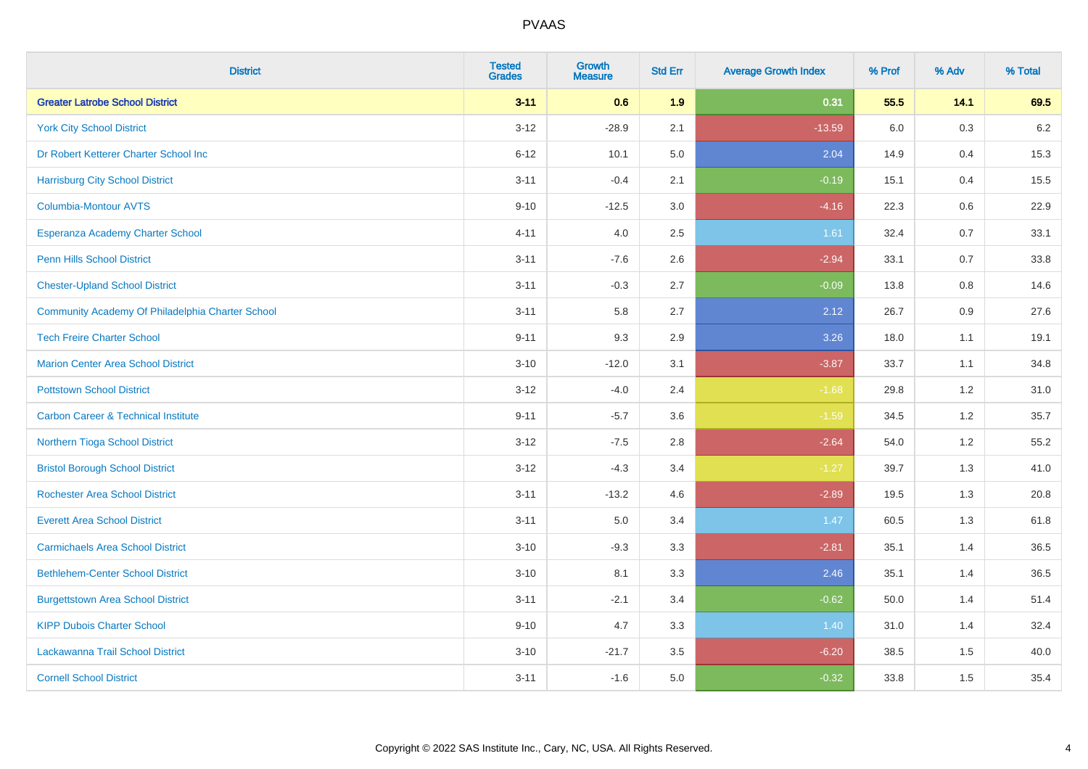| <b>District</b>                                  | <b>Tested</b><br><b>Grades</b> | <b>Growth</b><br><b>Measure</b> | <b>Std Err</b> | <b>Average Growth Index</b> | % Prof | % Adv | % Total |
|--------------------------------------------------|--------------------------------|---------------------------------|----------------|-----------------------------|--------|-------|---------|
| <b>Greater Latrobe School District</b>           | $3 - 11$                       | 0.6                             | 1.9            | 0.31                        | 55.5   | 14.1  | 69.5    |
| <b>York City School District</b>                 | $3 - 12$                       | $-28.9$                         | 2.1            | $-13.59$                    | 6.0    | 0.3   | $6.2\,$ |
| Dr Robert Ketterer Charter School Inc            | $6 - 12$                       | 10.1                            | 5.0            | 2.04                        | 14.9   | 0.4   | 15.3    |
| <b>Harrisburg City School District</b>           | $3 - 11$                       | $-0.4$                          | 2.1            | $-0.19$                     | 15.1   | 0.4   | 15.5    |
| <b>Columbia-Montour AVTS</b>                     | $9 - 10$                       | $-12.5$                         | 3.0            | $-4.16$                     | 22.3   | 0.6   | 22.9    |
| Esperanza Academy Charter School                 | $4 - 11$                       | 4.0                             | 2.5            | 1.61                        | 32.4   | 0.7   | 33.1    |
| <b>Penn Hills School District</b>                | $3 - 11$                       | $-7.6$                          | 2.6            | $-2.94$                     | 33.1   | 0.7   | 33.8    |
| <b>Chester-Upland School District</b>            | $3 - 11$                       | $-0.3$                          | 2.7            | $-0.09$                     | 13.8   | 0.8   | 14.6    |
| Community Academy Of Philadelphia Charter School | $3 - 11$                       | 5.8                             | 2.7            | 2.12                        | 26.7   | 0.9   | 27.6    |
| <b>Tech Freire Charter School</b>                | $9 - 11$                       | 9.3                             | 2.9            | 3.26                        | 18.0   | 1.1   | 19.1    |
| <b>Marion Center Area School District</b>        | $3 - 10$                       | $-12.0$                         | 3.1            | $-3.87$                     | 33.7   | 1.1   | 34.8    |
| <b>Pottstown School District</b>                 | $3 - 12$                       | $-4.0$                          | 2.4            | $-1.68$                     | 29.8   | 1.2   | 31.0    |
| <b>Carbon Career &amp; Technical Institute</b>   | $9 - 11$                       | $-5.7$                          | 3.6            | $-1.59$                     | 34.5   | 1.2   | 35.7    |
| Northern Tioga School District                   | $3 - 12$                       | $-7.5$                          | 2.8            | $-2.64$                     | 54.0   | 1.2   | 55.2    |
| <b>Bristol Borough School District</b>           | $3 - 12$                       | $-4.3$                          | 3.4            | $-1.27$                     | 39.7   | 1.3   | 41.0    |
| <b>Rochester Area School District</b>            | $3 - 11$                       | $-13.2$                         | 4.6            | $-2.89$                     | 19.5   | 1.3   | 20.8    |
| <b>Everett Area School District</b>              | $3 - 11$                       | 5.0                             | 3.4            | 1.47                        | 60.5   | 1.3   | 61.8    |
| <b>Carmichaels Area School District</b>          | $3 - 10$                       | $-9.3$                          | 3.3            | $-2.81$                     | 35.1   | 1.4   | 36.5    |
| <b>Bethlehem-Center School District</b>          | $3 - 10$                       | 8.1                             | 3.3            | 2.46                        | 35.1   | 1.4   | 36.5    |
| <b>Burgettstown Area School District</b>         | $3 - 11$                       | $-2.1$                          | 3.4            | $-0.62$                     | 50.0   | 1.4   | 51.4    |
| <b>KIPP Dubois Charter School</b>                | $9 - 10$                       | 4.7                             | 3.3            | 1.40                        | 31.0   | 1.4   | 32.4    |
| Lackawanna Trail School District                 | $3 - 10$                       | $-21.7$                         | 3.5            | $-6.20$                     | 38.5   | 1.5   | 40.0    |
| <b>Cornell School District</b>                   | $3 - 11$                       | $-1.6$                          | 5.0            | $-0.32$                     | 33.8   | 1.5   | 35.4    |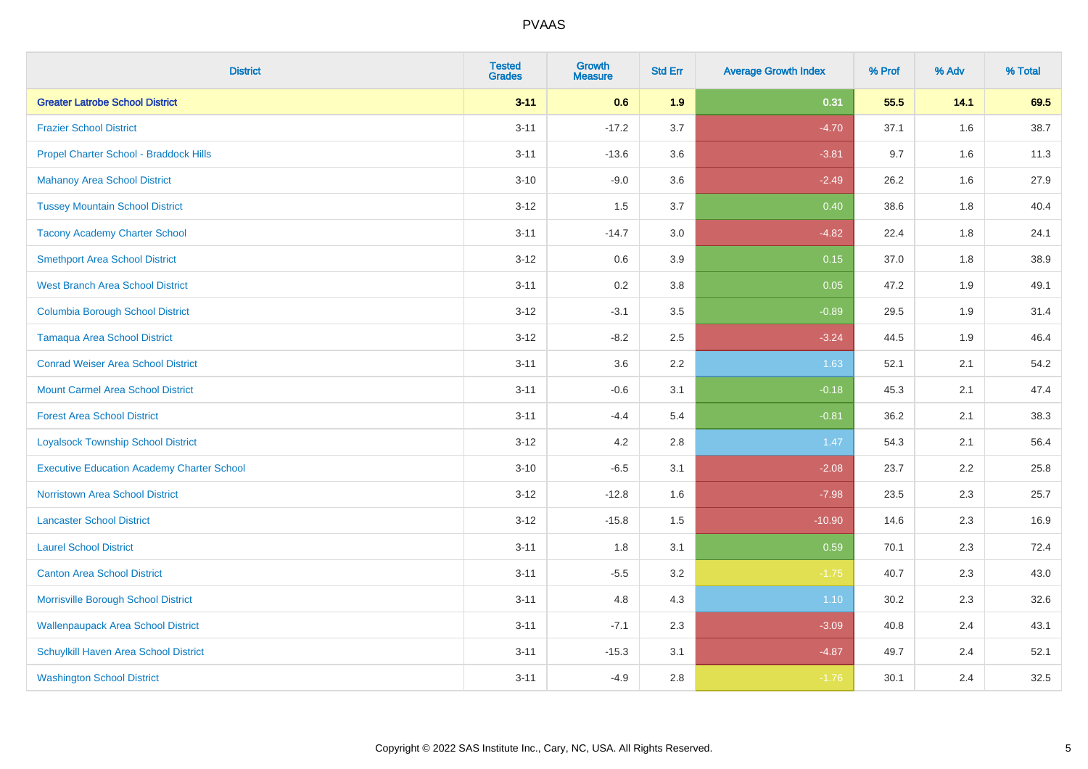| <b>District</b>                                   | <b>Tested</b><br><b>Grades</b> | Growth<br><b>Measure</b> | <b>Std Err</b> | <b>Average Growth Index</b> | % Prof | % Adv | % Total |
|---------------------------------------------------|--------------------------------|--------------------------|----------------|-----------------------------|--------|-------|---------|
| <b>Greater Latrobe School District</b>            | $3 - 11$                       | 0.6                      | 1.9            | 0.31                        | 55.5   | 14.1  | 69.5    |
| <b>Frazier School District</b>                    | $3 - 11$                       | $-17.2$                  | 3.7            | $-4.70$                     | 37.1   | 1.6   | 38.7    |
| Propel Charter School - Braddock Hills            | $3 - 11$                       | $-13.6$                  | 3.6            | $-3.81$                     | 9.7    | 1.6   | 11.3    |
| <b>Mahanoy Area School District</b>               | $3 - 10$                       | $-9.0$                   | 3.6            | $-2.49$                     | 26.2   | 1.6   | 27.9    |
| <b>Tussey Mountain School District</b>            | $3 - 12$                       | 1.5                      | 3.7            | 0.40                        | 38.6   | 1.8   | 40.4    |
| <b>Tacony Academy Charter School</b>              | $3 - 11$                       | $-14.7$                  | 3.0            | $-4.82$                     | 22.4   | 1.8   | 24.1    |
| <b>Smethport Area School District</b>             | $3 - 12$                       | 0.6                      | 3.9            | 0.15                        | 37.0   | 1.8   | 38.9    |
| <b>West Branch Area School District</b>           | $3 - 11$                       | 0.2                      | 3.8            | 0.05                        | 47.2   | 1.9   | 49.1    |
| <b>Columbia Borough School District</b>           | $3 - 12$                       | $-3.1$                   | 3.5            | $-0.89$                     | 29.5   | 1.9   | 31.4    |
| <b>Tamaqua Area School District</b>               | $3 - 12$                       | $-8.2$                   | 2.5            | $-3.24$                     | 44.5   | 1.9   | 46.4    |
| <b>Conrad Weiser Area School District</b>         | $3 - 11$                       | 3.6                      | 2.2            | 1.63                        | 52.1   | 2.1   | 54.2    |
| <b>Mount Carmel Area School District</b>          | $3 - 11$                       | $-0.6$                   | 3.1            | $-0.18$                     | 45.3   | 2.1   | 47.4    |
| <b>Forest Area School District</b>                | $3 - 11$                       | $-4.4$                   | 5.4            | $-0.81$                     | 36.2   | 2.1   | 38.3    |
| <b>Loyalsock Township School District</b>         | $3 - 12$                       | 4.2                      | 2.8            | 1.47                        | 54.3   | 2.1   | 56.4    |
| <b>Executive Education Academy Charter School</b> | $3 - 10$                       | $-6.5$                   | 3.1            | $-2.08$                     | 23.7   | 2.2   | 25.8    |
| <b>Norristown Area School District</b>            | $3 - 12$                       | $-12.8$                  | 1.6            | $-7.98$                     | 23.5   | 2.3   | 25.7    |
| <b>Lancaster School District</b>                  | $3 - 12$                       | $-15.8$                  | 1.5            | $-10.90$                    | 14.6   | 2.3   | 16.9    |
| <b>Laurel School District</b>                     | $3 - 11$                       | 1.8                      | 3.1            | 0.59                        | 70.1   | 2.3   | 72.4    |
| <b>Canton Area School District</b>                | $3 - 11$                       | $-5.5$                   | 3.2            | $-1.75$                     | 40.7   | 2.3   | 43.0    |
| Morrisville Borough School District               | $3 - 11$                       | 4.8                      | 4.3            | 1.10                        | 30.2   | 2.3   | 32.6    |
| <b>Wallenpaupack Area School District</b>         | $3 - 11$                       | $-7.1$                   | 2.3            | $-3.09$                     | 40.8   | 2.4   | 43.1    |
| Schuylkill Haven Area School District             | $3 - 11$                       | $-15.3$                  | 3.1            | $-4.87$                     | 49.7   | 2.4   | 52.1    |
| <b>Washington School District</b>                 | $3 - 11$                       | $-4.9$                   | 2.8            | $-1.76$                     | 30.1   | 2.4   | 32.5    |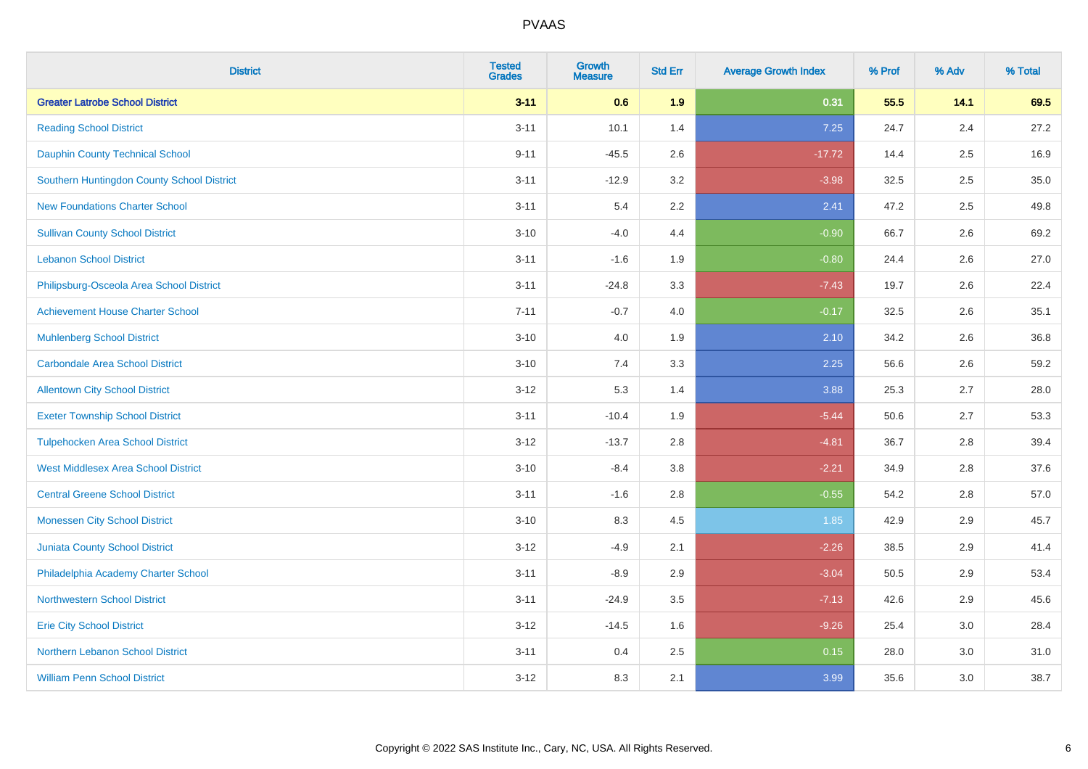| <b>District</b>                            | <b>Tested</b><br><b>Grades</b> | <b>Growth</b><br><b>Measure</b> | <b>Std Err</b> | <b>Average Growth Index</b> | % Prof | % Adv   | % Total |
|--------------------------------------------|--------------------------------|---------------------------------|----------------|-----------------------------|--------|---------|---------|
| <b>Greater Latrobe School District</b>     | $3 - 11$                       | 0.6                             | 1.9            | 0.31                        | 55.5   | 14.1    | 69.5    |
| <b>Reading School District</b>             | $3 - 11$                       | 10.1                            | 1.4            | 7.25                        | 24.7   | 2.4     | 27.2    |
| <b>Dauphin County Technical School</b>     | $9 - 11$                       | $-45.5$                         | 2.6            | $-17.72$                    | 14.4   | 2.5     | 16.9    |
| Southern Huntingdon County School District | $3 - 11$                       | $-12.9$                         | 3.2            | $-3.98$                     | 32.5   | $2.5\,$ | 35.0    |
| <b>New Foundations Charter School</b>      | $3 - 11$                       | 5.4                             | 2.2            | 2.41                        | 47.2   | 2.5     | 49.8    |
| <b>Sullivan County School District</b>     | $3 - 10$                       | $-4.0$                          | 4.4            | $-0.90$                     | 66.7   | 2.6     | 69.2    |
| <b>Lebanon School District</b>             | $3 - 11$                       | $-1.6$                          | 1.9            | $-0.80$                     | 24.4   | 2.6     | 27.0    |
| Philipsburg-Osceola Area School District   | $3 - 11$                       | $-24.8$                         | 3.3            | $-7.43$                     | 19.7   | 2.6     | 22.4    |
| <b>Achievement House Charter School</b>    | $7 - 11$                       | $-0.7$                          | 4.0            | $-0.17$                     | 32.5   | 2.6     | 35.1    |
| <b>Muhlenberg School District</b>          | $3 - 10$                       | 4.0                             | 1.9            | 2.10                        | 34.2   | 2.6     | 36.8    |
| <b>Carbondale Area School District</b>     | $3 - 10$                       | 7.4                             | 3.3            | 2.25                        | 56.6   | 2.6     | 59.2    |
| <b>Allentown City School District</b>      | $3 - 12$                       | 5.3                             | 1.4            | 3.88                        | 25.3   | 2.7     | 28.0    |
| <b>Exeter Township School District</b>     | $3 - 11$                       | $-10.4$                         | 1.9            | $-5.44$                     | 50.6   | 2.7     | 53.3    |
| <b>Tulpehocken Area School District</b>    | $3 - 12$                       | $-13.7$                         | 2.8            | $-4.81$                     | 36.7   | 2.8     | 39.4    |
| <b>West Middlesex Area School District</b> | $3 - 10$                       | $-8.4$                          | 3.8            | $-2.21$                     | 34.9   | 2.8     | 37.6    |
| <b>Central Greene School District</b>      | $3 - 11$                       | $-1.6$                          | 2.8            | $-0.55$                     | 54.2   | 2.8     | 57.0    |
| <b>Monessen City School District</b>       | $3 - 10$                       | 8.3                             | 4.5            | 1.85                        | 42.9   | 2.9     | 45.7    |
| <b>Juniata County School District</b>      | $3 - 12$                       | $-4.9$                          | 2.1            | $-2.26$                     | 38.5   | 2.9     | 41.4    |
| Philadelphia Academy Charter School        | $3 - 11$                       | $-8.9$                          | 2.9            | $-3.04$                     | 50.5   | 2.9     | 53.4    |
| <b>Northwestern School District</b>        | $3 - 11$                       | $-24.9$                         | 3.5            | $-7.13$                     | 42.6   | 2.9     | 45.6    |
| <b>Erie City School District</b>           | $3 - 12$                       | $-14.5$                         | 1.6            | $-9.26$                     | 25.4   | 3.0     | 28.4    |
| Northern Lebanon School District           | $3 - 11$                       | 0.4                             | 2.5            | 0.15                        | 28.0   | 3.0     | 31.0    |
| <b>William Penn School District</b>        | $3 - 12$                       | 8.3                             | 2.1            | 3.99                        | 35.6   | 3.0     | 38.7    |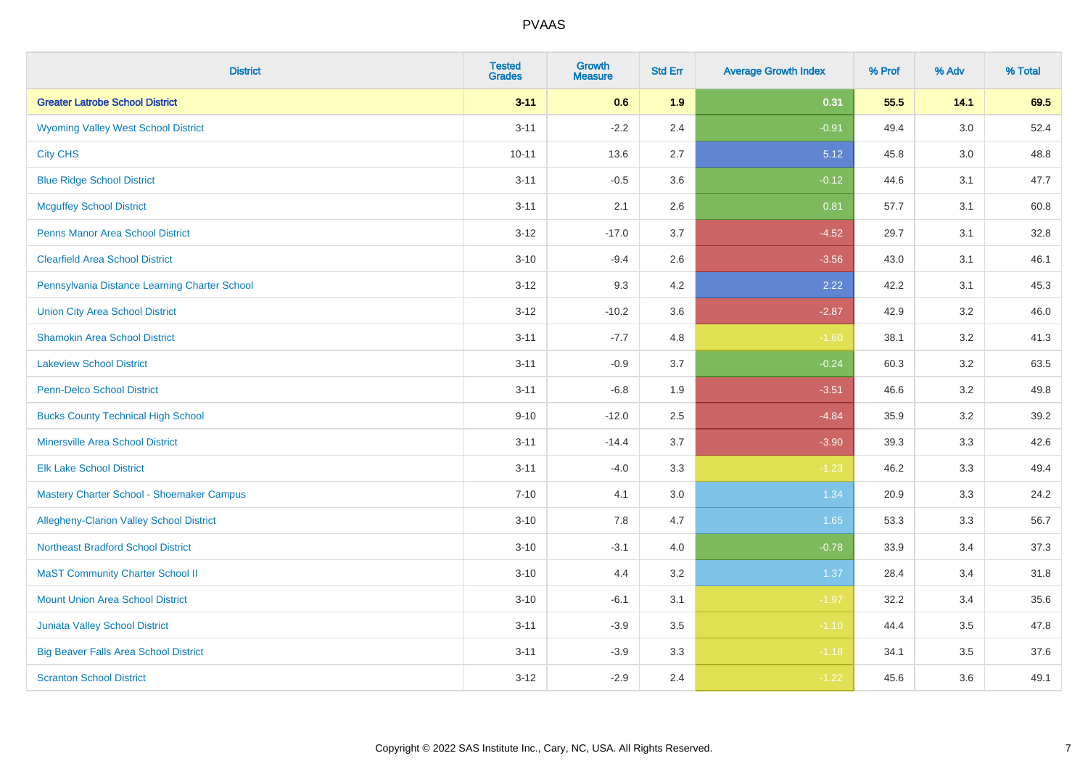| <b>District</b>                                 | <b>Tested</b><br><b>Grades</b> | <b>Growth</b><br><b>Measure</b> | <b>Std Err</b> | <b>Average Growth Index</b> | % Prof | % Adv | % Total |
|-------------------------------------------------|--------------------------------|---------------------------------|----------------|-----------------------------|--------|-------|---------|
| <b>Greater Latrobe School District</b>          | $3 - 11$                       | 0.6                             | 1.9            | 0.31                        | 55.5   | 14.1  | 69.5    |
| <b>Wyoming Valley West School District</b>      | $3 - 11$                       | $-2.2$                          | 2.4            | $-0.91$                     | 49.4   | 3.0   | 52.4    |
| <b>City CHS</b>                                 | $10 - 11$                      | 13.6                            | 2.7            | 5.12                        | 45.8   | 3.0   | 48.8    |
| <b>Blue Ridge School District</b>               | $3 - 11$                       | $-0.5$                          | 3.6            | $-0.12$                     | 44.6   | 3.1   | 47.7    |
| <b>Mcguffey School District</b>                 | $3 - 11$                       | 2.1                             | 2.6            | 0.81                        | 57.7   | 3.1   | 60.8    |
| <b>Penns Manor Area School District</b>         | $3 - 12$                       | $-17.0$                         | 3.7            | $-4.52$                     | 29.7   | 3.1   | 32.8    |
| <b>Clearfield Area School District</b>          | $3 - 10$                       | $-9.4$                          | 2.6            | $-3.56$                     | 43.0   | 3.1   | 46.1    |
| Pennsylvania Distance Learning Charter School   | $3 - 12$                       | 9.3                             | 4.2            | 2.22                        | 42.2   | 3.1   | 45.3    |
| <b>Union City Area School District</b>          | $3 - 12$                       | $-10.2$                         | 3.6            | $-2.87$                     | 42.9   | 3.2   | 46.0    |
| <b>Shamokin Area School District</b>            | $3 - 11$                       | $-7.7$                          | 4.8            | $-1.60$                     | 38.1   | 3.2   | 41.3    |
| <b>Lakeview School District</b>                 | $3 - 11$                       | $-0.9$                          | 3.7            | $-0.24$                     | 60.3   | 3.2   | 63.5    |
| <b>Penn-Delco School District</b>               | $3 - 11$                       | $-6.8$                          | 1.9            | $-3.51$                     | 46.6   | 3.2   | 49.8    |
| <b>Bucks County Technical High School</b>       | $9 - 10$                       | $-12.0$                         | 2.5            | $-4.84$                     | 35.9   | 3.2   | 39.2    |
| <b>Minersville Area School District</b>         | $3 - 11$                       | $-14.4$                         | 3.7            | $-3.90$                     | 39.3   | 3.3   | 42.6    |
| <b>Elk Lake School District</b>                 | $3 - 11$                       | $-4.0$                          | 3.3            | $-1.23$                     | 46.2   | 3.3   | 49.4    |
| Mastery Charter School - Shoemaker Campus       | $7 - 10$                       | 4.1                             | 3.0            | 1.34                        | 20.9   | 3.3   | 24.2    |
| <b>Allegheny-Clarion Valley School District</b> | $3 - 10$                       | 7.8                             | 4.7            | 1.65                        | 53.3   | 3.3   | 56.7    |
| <b>Northeast Bradford School District</b>       | $3 - 10$                       | $-3.1$                          | 4.0            | $-0.78$                     | 33.9   | 3.4   | 37.3    |
| <b>MaST Community Charter School II</b>         | $3 - 10$                       | 4.4                             | 3.2            | 1.37                        | 28.4   | 3.4   | 31.8    |
| <b>Mount Union Area School District</b>         | $3 - 10$                       | $-6.1$                          | 3.1            | $-1.97$                     | 32.2   | 3.4   | 35.6    |
| <b>Juniata Valley School District</b>           | $3 - 11$                       | $-3.9$                          | 3.5            | $-1.10$                     | 44.4   | 3.5   | 47.8    |
| <b>Big Beaver Falls Area School District</b>    | $3 - 11$                       | $-3.9$                          | 3.3            | $-1.18$                     | 34.1   | 3.5   | 37.6    |
| <b>Scranton School District</b>                 | $3 - 12$                       | $-2.9$                          | 2.4            | $-1.22$                     | 45.6   | 3.6   | 49.1    |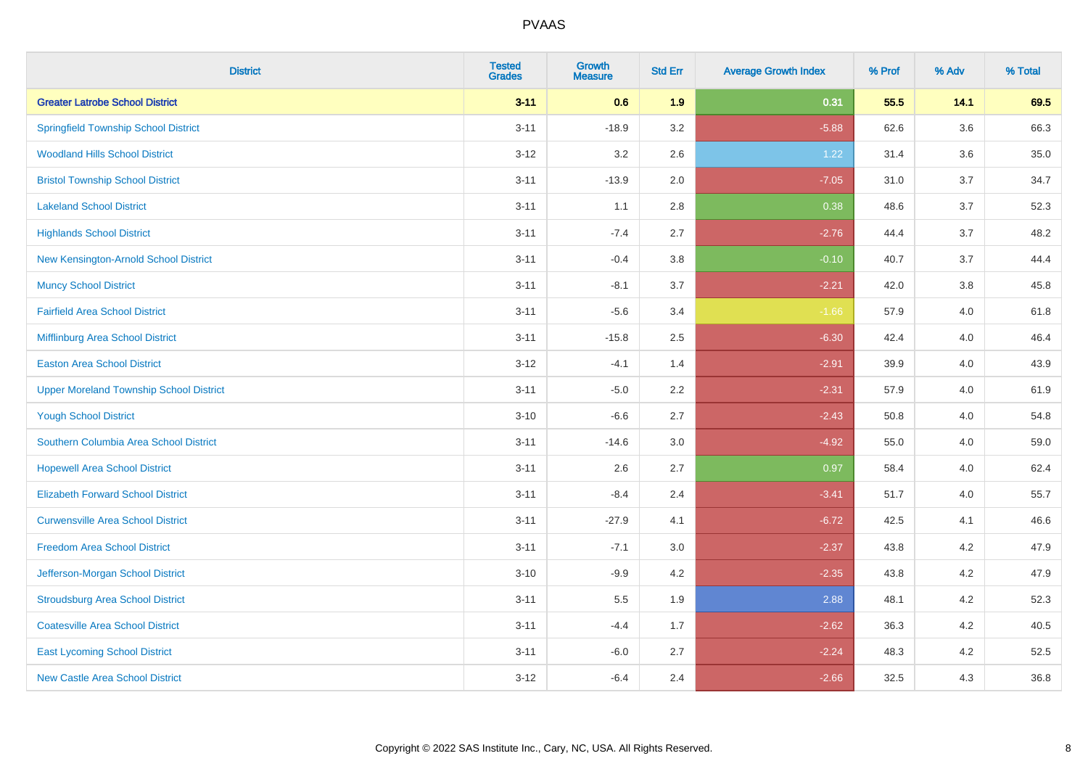| <b>District</b>                                | <b>Tested</b><br><b>Grades</b> | <b>Growth</b><br><b>Measure</b> | <b>Std Err</b> | <b>Average Growth Index</b> | % Prof | % Adv   | % Total |
|------------------------------------------------|--------------------------------|---------------------------------|----------------|-----------------------------|--------|---------|---------|
| <b>Greater Latrobe School District</b>         | $3 - 11$                       | 0.6                             | 1.9            | 0.31                        | 55.5   | 14.1    | 69.5    |
| <b>Springfield Township School District</b>    | $3 - 11$                       | $-18.9$                         | 3.2            | $-5.88$                     | 62.6   | $3.6\,$ | 66.3    |
| <b>Woodland Hills School District</b>          | $3 - 12$                       | 3.2                             | 2.6            | 1.22                        | 31.4   | 3.6     | 35.0    |
| <b>Bristol Township School District</b>        | $3 - 11$                       | $-13.9$                         | 2.0            | $-7.05$                     | 31.0   | 3.7     | 34.7    |
| <b>Lakeland School District</b>                | $3 - 11$                       | 1.1                             | 2.8            | 0.38                        | 48.6   | 3.7     | 52.3    |
| <b>Highlands School District</b>               | $3 - 11$                       | $-7.4$                          | 2.7            | $-2.76$                     | 44.4   | 3.7     | 48.2    |
| New Kensington-Arnold School District          | $3 - 11$                       | $-0.4$                          | 3.8            | $-0.10$                     | 40.7   | 3.7     | 44.4    |
| <b>Muncy School District</b>                   | $3 - 11$                       | $-8.1$                          | 3.7            | $-2.21$                     | 42.0   | 3.8     | 45.8    |
| <b>Fairfield Area School District</b>          | $3 - 11$                       | $-5.6$                          | 3.4            | $-1.66$                     | 57.9   | 4.0     | 61.8    |
| Mifflinburg Area School District               | $3 - 11$                       | $-15.8$                         | 2.5            | $-6.30$                     | 42.4   | 4.0     | 46.4    |
| <b>Easton Area School District</b>             | $3 - 12$                       | $-4.1$                          | 1.4            | $-2.91$                     | 39.9   | 4.0     | 43.9    |
| <b>Upper Moreland Township School District</b> | $3 - 11$                       | $-5.0$                          | 2.2            | $-2.31$                     | 57.9   | 4.0     | 61.9    |
| <b>Yough School District</b>                   | $3 - 10$                       | $-6.6$                          | 2.7            | $-2.43$                     | 50.8   | 4.0     | 54.8    |
| Southern Columbia Area School District         | $3 - 11$                       | $-14.6$                         | 3.0            | $-4.92$                     | 55.0   | 4.0     | 59.0    |
| <b>Hopewell Area School District</b>           | $3 - 11$                       | 2.6                             | 2.7            | 0.97                        | 58.4   | 4.0     | 62.4    |
| <b>Elizabeth Forward School District</b>       | $3 - 11$                       | $-8.4$                          | 2.4            | $-3.41$                     | 51.7   | 4.0     | 55.7    |
| <b>Curwensville Area School District</b>       | $3 - 11$                       | $-27.9$                         | 4.1            | $-6.72$                     | 42.5   | 4.1     | 46.6    |
| <b>Freedom Area School District</b>            | $3 - 11$                       | $-7.1$                          | 3.0            | $-2.37$                     | 43.8   | 4.2     | 47.9    |
| Jefferson-Morgan School District               | $3 - 10$                       | $-9.9$                          | 4.2            | $-2.35$                     | 43.8   | 4.2     | 47.9    |
| <b>Stroudsburg Area School District</b>        | $3 - 11$                       | $5.5\,$                         | 1.9            | 2.88                        | 48.1   | 4.2     | 52.3    |
| <b>Coatesville Area School District</b>        | $3 - 11$                       | $-4.4$                          | 1.7            | $-2.62$                     | 36.3   | 4.2     | 40.5    |
| <b>East Lycoming School District</b>           | $3 - 11$                       | $-6.0$                          | 2.7            | $-2.24$                     | 48.3   | 4.2     | 52.5    |
| <b>New Castle Area School District</b>         | $3 - 12$                       | $-6.4$                          | 2.4            | $-2.66$                     | 32.5   | 4.3     | 36.8    |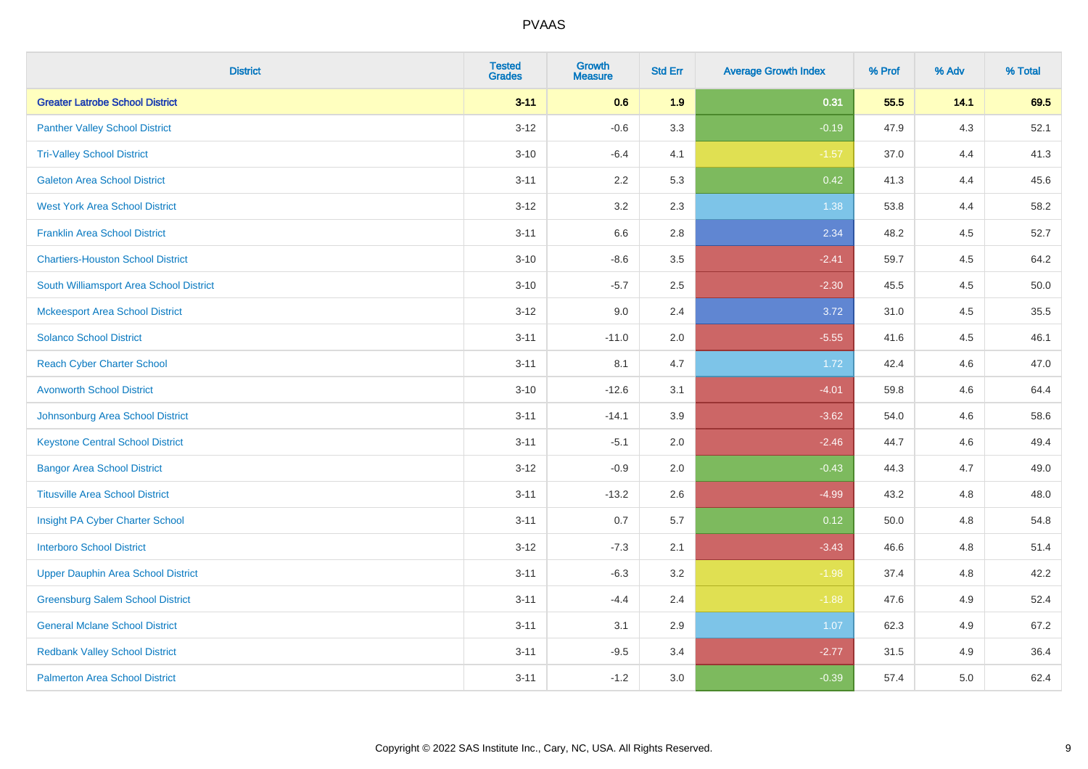| <b>District</b>                           | <b>Tested</b><br><b>Grades</b> | <b>Growth</b><br><b>Measure</b> | <b>Std Err</b> | <b>Average Growth Index</b> | % Prof | % Adv | % Total |
|-------------------------------------------|--------------------------------|---------------------------------|----------------|-----------------------------|--------|-------|---------|
| <b>Greater Latrobe School District</b>    | $3 - 11$                       | 0.6                             | 1.9            | 0.31                        | 55.5   | 14.1  | 69.5    |
| <b>Panther Valley School District</b>     | $3 - 12$                       | $-0.6$                          | 3.3            | $-0.19$                     | 47.9   | $4.3$ | 52.1    |
| <b>Tri-Valley School District</b>         | $3 - 10$                       | $-6.4$                          | 4.1            | $-1.57$                     | 37.0   | 4.4   | 41.3    |
| <b>Galeton Area School District</b>       | $3 - 11$                       | 2.2                             | 5.3            | 0.42                        | 41.3   | 4.4   | 45.6    |
| <b>West York Area School District</b>     | $3 - 12$                       | 3.2                             | 2.3            | 1.38                        | 53.8   | 4.4   | 58.2    |
| <b>Franklin Area School District</b>      | $3 - 11$                       | 6.6                             | 2.8            | 2.34                        | 48.2   | 4.5   | 52.7    |
| <b>Chartiers-Houston School District</b>  | $3 - 10$                       | $-8.6$                          | 3.5            | $-2.41$                     | 59.7   | 4.5   | 64.2    |
| South Williamsport Area School District   | $3 - 10$                       | $-5.7$                          | 2.5            | $-2.30$                     | 45.5   | 4.5   | 50.0    |
| <b>Mckeesport Area School District</b>    | $3 - 12$                       | 9.0                             | 2.4            | 3.72                        | 31.0   | 4.5   | 35.5    |
| <b>Solanco School District</b>            | $3 - 11$                       | $-11.0$                         | 2.0            | $-5.55$                     | 41.6   | 4.5   | 46.1    |
| <b>Reach Cyber Charter School</b>         | $3 - 11$                       | 8.1                             | 4.7            | 1.72                        | 42.4   | 4.6   | 47.0    |
| <b>Avonworth School District</b>          | $3 - 10$                       | $-12.6$                         | 3.1            | $-4.01$                     | 59.8   | 4.6   | 64.4    |
| Johnsonburg Area School District          | $3 - 11$                       | $-14.1$                         | 3.9            | $-3.62$                     | 54.0   | 4.6   | 58.6    |
| <b>Keystone Central School District</b>   | $3 - 11$                       | $-5.1$                          | 2.0            | $-2.46$                     | 44.7   | 4.6   | 49.4    |
| <b>Bangor Area School District</b>        | $3 - 12$                       | $-0.9$                          | 2.0            | $-0.43$                     | 44.3   | 4.7   | 49.0    |
| <b>Titusville Area School District</b>    | $3 - 11$                       | $-13.2$                         | 2.6            | $-4.99$                     | 43.2   | 4.8   | 48.0    |
| Insight PA Cyber Charter School           | $3 - 11$                       | 0.7                             | 5.7            | 0.12                        | 50.0   | 4.8   | 54.8    |
| <b>Interboro School District</b>          | $3 - 12$                       | $-7.3$                          | 2.1            | $-3.43$                     | 46.6   | 4.8   | 51.4    |
| <b>Upper Dauphin Area School District</b> | $3 - 11$                       | $-6.3$                          | 3.2            | $-1.98$                     | 37.4   | 4.8   | 42.2    |
| <b>Greensburg Salem School District</b>   | $3 - 11$                       | $-4.4$                          | 2.4            | $-1.88$                     | 47.6   | 4.9   | 52.4    |
| <b>General Mclane School District</b>     | $3 - 11$                       | 3.1                             | 2.9            | 1.07                        | 62.3   | 4.9   | 67.2    |
| <b>Redbank Valley School District</b>     | $3 - 11$                       | $-9.5$                          | 3.4            | $-2.77$                     | 31.5   | 4.9   | 36.4    |
| <b>Palmerton Area School District</b>     | $3 - 11$                       | $-1.2$                          | 3.0            | $-0.39$                     | 57.4   | 5.0   | 62.4    |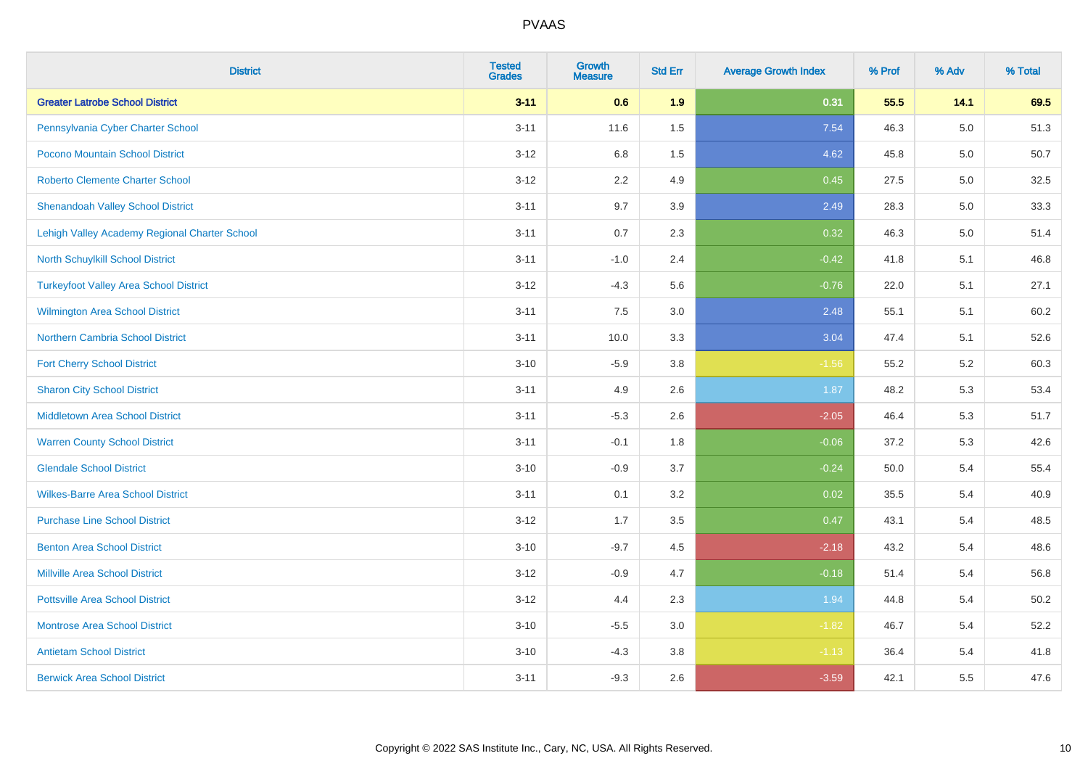| <b>District</b>                               | <b>Tested</b><br><b>Grades</b> | <b>Growth</b><br><b>Measure</b> | <b>Std Err</b> | <b>Average Growth Index</b> | % Prof | % Adv | % Total |
|-----------------------------------------------|--------------------------------|---------------------------------|----------------|-----------------------------|--------|-------|---------|
| <b>Greater Latrobe School District</b>        | $3 - 11$                       | 0.6                             | 1.9            | 0.31                        | 55.5   | 14.1  | 69.5    |
| Pennsylvania Cyber Charter School             | $3 - 11$                       | 11.6                            | 1.5            | 7.54                        | 46.3   | 5.0   | 51.3    |
| Pocono Mountain School District               | $3 - 12$                       | 6.8                             | 1.5            | 4.62                        | 45.8   | 5.0   | 50.7    |
| <b>Roberto Clemente Charter School</b>        | $3 - 12$                       | 2.2                             | 4.9            | 0.45                        | 27.5   | 5.0   | 32.5    |
| <b>Shenandoah Valley School District</b>      | $3 - 11$                       | 9.7                             | 3.9            | 2.49                        | 28.3   | 5.0   | 33.3    |
| Lehigh Valley Academy Regional Charter School | $3 - 11$                       | 0.7                             | 2.3            | 0.32                        | 46.3   | 5.0   | 51.4    |
| North Schuylkill School District              | $3 - 11$                       | $-1.0$                          | 2.4            | $-0.42$                     | 41.8   | 5.1   | 46.8    |
| <b>Turkeyfoot Valley Area School District</b> | $3 - 12$                       | $-4.3$                          | 5.6            | $-0.76$                     | 22.0   | 5.1   | 27.1    |
| <b>Wilmington Area School District</b>        | $3 - 11$                       | 7.5                             | 3.0            | 2.48                        | 55.1   | 5.1   | 60.2    |
| <b>Northern Cambria School District</b>       | $3 - 11$                       | 10.0                            | 3.3            | 3.04                        | 47.4   | 5.1   | 52.6    |
| <b>Fort Cherry School District</b>            | $3 - 10$                       | $-5.9$                          | 3.8            | $-1.56$                     | 55.2   | 5.2   | 60.3    |
| <b>Sharon City School District</b>            | $3 - 11$                       | 4.9                             | 2.6            | 1.87                        | 48.2   | 5.3   | 53.4    |
| Middletown Area School District               | $3 - 11$                       | $-5.3$                          | 2.6            | $-2.05$                     | 46.4   | 5.3   | 51.7    |
| <b>Warren County School District</b>          | $3 - 11$                       | $-0.1$                          | 1.8            | $-0.06$                     | 37.2   | 5.3   | 42.6    |
| <b>Glendale School District</b>               | $3 - 10$                       | $-0.9$                          | 3.7            | $-0.24$                     | 50.0   | 5.4   | 55.4    |
| <b>Wilkes-Barre Area School District</b>      | $3 - 11$                       | 0.1                             | 3.2            | 0.02                        | 35.5   | 5.4   | 40.9    |
| <b>Purchase Line School District</b>          | $3 - 12$                       | 1.7                             | 3.5            | 0.47                        | 43.1   | 5.4   | 48.5    |
| <b>Benton Area School District</b>            | $3 - 10$                       | $-9.7$                          | 4.5            | $-2.18$                     | 43.2   | 5.4   | 48.6    |
| <b>Millville Area School District</b>         | $3 - 12$                       | $-0.9$                          | 4.7            | $-0.18$                     | 51.4   | 5.4   | 56.8    |
| <b>Pottsville Area School District</b>        | $3 - 12$                       | 4.4                             | 2.3            | 1.94                        | 44.8   | 5.4   | 50.2    |
| <b>Montrose Area School District</b>          | $3 - 10$                       | $-5.5$                          | 3.0            | $-1.82$                     | 46.7   | 5.4   | 52.2    |
| <b>Antietam School District</b>               | $3 - 10$                       | $-4.3$                          | 3.8            | $-1.13$                     | 36.4   | 5.4   | 41.8    |
| <b>Berwick Area School District</b>           | $3 - 11$                       | $-9.3$                          | 2.6            | $-3.59$                     | 42.1   | 5.5   | 47.6    |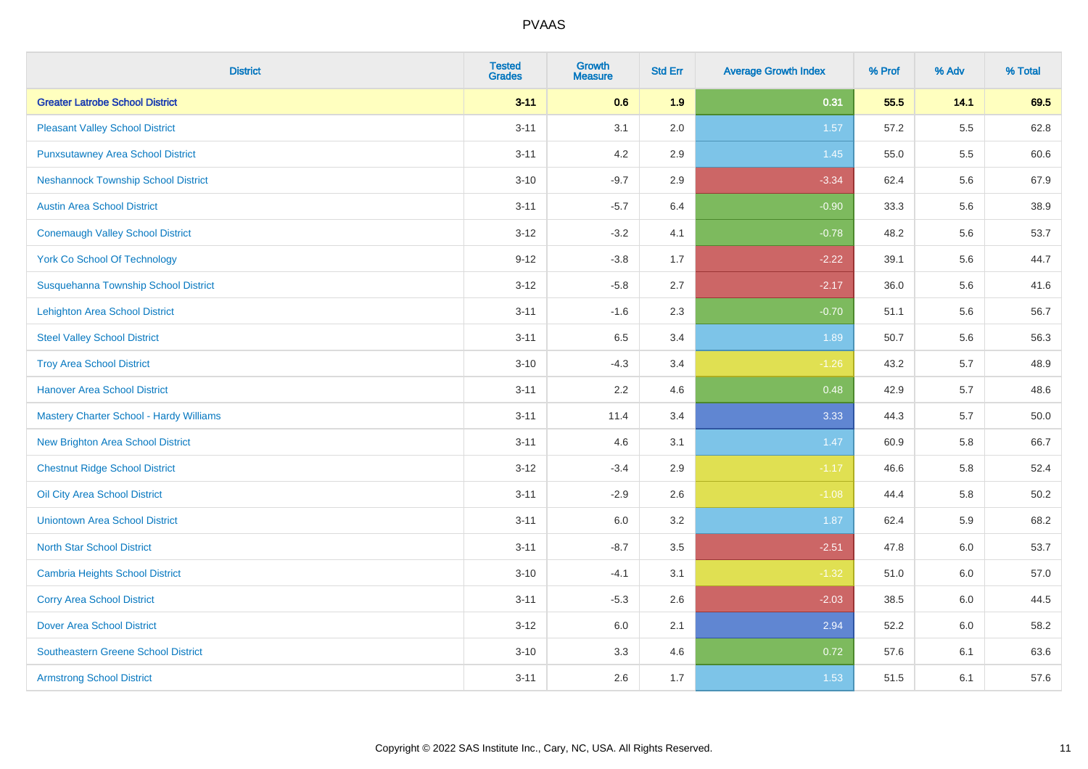| <b>District</b>                            | <b>Tested</b><br><b>Grades</b> | <b>Growth</b><br><b>Measure</b> | <b>Std Err</b> | <b>Average Growth Index</b> | % Prof | % Adv | % Total |
|--------------------------------------------|--------------------------------|---------------------------------|----------------|-----------------------------|--------|-------|---------|
| <b>Greater Latrobe School District</b>     | $3 - 11$                       | 0.6                             | 1.9            | 0.31                        | 55.5   | 14.1  | 69.5    |
| <b>Pleasant Valley School District</b>     | $3 - 11$                       | 3.1                             | 2.0            | 1.57                        | 57.2   | 5.5   | 62.8    |
| <b>Punxsutawney Area School District</b>   | $3 - 11$                       | 4.2                             | 2.9            | 1.45                        | 55.0   | 5.5   | 60.6    |
| <b>Neshannock Township School District</b> | $3 - 10$                       | $-9.7$                          | 2.9            | $-3.34$                     | 62.4   | 5.6   | 67.9    |
| <b>Austin Area School District</b>         | $3 - 11$                       | $-5.7$                          | 6.4            | $-0.90$                     | 33.3   | 5.6   | 38.9    |
| <b>Conemaugh Valley School District</b>    | $3 - 12$                       | $-3.2$                          | 4.1            | $-0.78$                     | 48.2   | 5.6   | 53.7    |
| <b>York Co School Of Technology</b>        | $9 - 12$                       | $-3.8$                          | 1.7            | $-2.22$                     | 39.1   | 5.6   | 44.7    |
| Susquehanna Township School District       | $3 - 12$                       | $-5.8$                          | 2.7            | $-2.17$                     | 36.0   | 5.6   | 41.6    |
| <b>Lehighton Area School District</b>      | $3 - 11$                       | $-1.6$                          | 2.3            | $-0.70$                     | 51.1   | 5.6   | 56.7    |
| <b>Steel Valley School District</b>        | $3 - 11$                       | 6.5                             | 3.4            | 1.89                        | 50.7   | 5.6   | 56.3    |
| <b>Troy Area School District</b>           | $3 - 10$                       | $-4.3$                          | 3.4            | $-1.26$                     | 43.2   | 5.7   | 48.9    |
| <b>Hanover Area School District</b>        | $3 - 11$                       | 2.2                             | 4.6            | 0.48                        | 42.9   | 5.7   | 48.6    |
| Mastery Charter School - Hardy Williams    | $3 - 11$                       | 11.4                            | 3.4            | 3.33                        | 44.3   | 5.7   | 50.0    |
| New Brighton Area School District          | $3 - 11$                       | 4.6                             | 3.1            | $1.47$                      | 60.9   | 5.8   | 66.7    |
| <b>Chestnut Ridge School District</b>      | $3 - 12$                       | $-3.4$                          | 2.9            | $-1.17$                     | 46.6   | 5.8   | 52.4    |
| Oil City Area School District              | $3 - 11$                       | $-2.9$                          | 2.6            | $-1.08$                     | 44.4   | 5.8   | 50.2    |
| <b>Uniontown Area School District</b>      | $3 - 11$                       | 6.0                             | 3.2            | 1.87                        | 62.4   | 5.9   | 68.2    |
| <b>North Star School District</b>          | $3 - 11$                       | $-8.7$                          | 3.5            | $-2.51$                     | 47.8   | 6.0   | 53.7    |
| <b>Cambria Heights School District</b>     | $3 - 10$                       | $-4.1$                          | 3.1            | $-1.32$                     | 51.0   | 6.0   | 57.0    |
| <b>Corry Area School District</b>          | $3 - 11$                       | $-5.3$                          | 2.6            | $-2.03$                     | 38.5   | 6.0   | 44.5    |
| <b>Dover Area School District</b>          | $3 - 12$                       | 6.0                             | 2.1            | 2.94                        | 52.2   | 6.0   | 58.2    |
| <b>Southeastern Greene School District</b> | $3 - 10$                       | 3.3                             | 4.6            | 0.72                        | 57.6   | 6.1   | 63.6    |
| <b>Armstrong School District</b>           | $3 - 11$                       | 2.6                             | 1.7            | 1.53                        | 51.5   | 6.1   | 57.6    |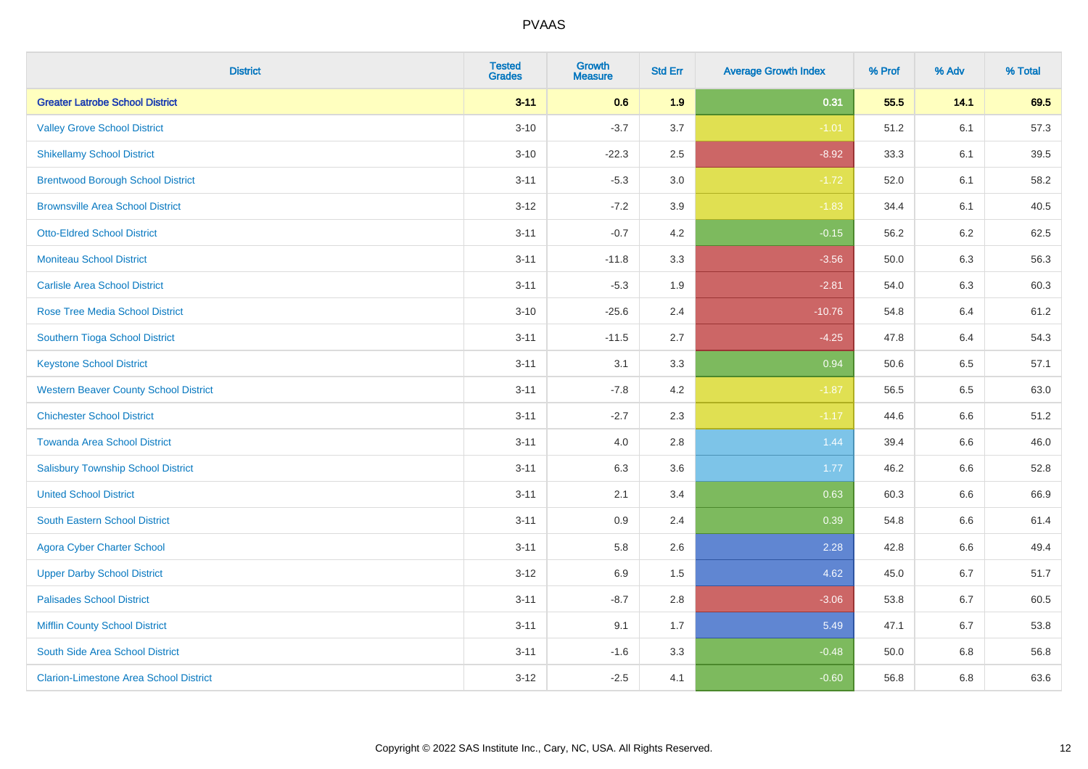| <b>District</b>                               | <b>Tested</b><br><b>Grades</b> | <b>Growth</b><br><b>Measure</b> | <b>Std Err</b> | <b>Average Growth Index</b> | % Prof | % Adv   | % Total |
|-----------------------------------------------|--------------------------------|---------------------------------|----------------|-----------------------------|--------|---------|---------|
| <b>Greater Latrobe School District</b>        | $3 - 11$                       | 0.6                             | 1.9            | 0.31                        | 55.5   | 14.1    | 69.5    |
| <b>Valley Grove School District</b>           | $3 - 10$                       | $-3.7$                          | 3.7            | $-1.01$                     | 51.2   | 6.1     | 57.3    |
| <b>Shikellamy School District</b>             | $3 - 10$                       | $-22.3$                         | 2.5            | $-8.92$                     | 33.3   | 6.1     | 39.5    |
| <b>Brentwood Borough School District</b>      | $3 - 11$                       | $-5.3$                          | $3.0\,$        | $-1.72$                     | 52.0   | 6.1     | 58.2    |
| <b>Brownsville Area School District</b>       | $3 - 12$                       | $-7.2$                          | 3.9            | $-1.83$                     | 34.4   | 6.1     | 40.5    |
| <b>Otto-Eldred School District</b>            | $3 - 11$                       | $-0.7$                          | 4.2            | $-0.15$                     | 56.2   | 6.2     | 62.5    |
| <b>Moniteau School District</b>               | $3 - 11$                       | $-11.8$                         | 3.3            | $-3.56$                     | 50.0   | 6.3     | 56.3    |
| <b>Carlisle Area School District</b>          | $3 - 11$                       | $-5.3$                          | 1.9            | $-2.81$                     | 54.0   | 6.3     | 60.3    |
| <b>Rose Tree Media School District</b>        | $3 - 10$                       | $-25.6$                         | 2.4            | $-10.76$                    | 54.8   | 6.4     | 61.2    |
| Southern Tioga School District                | $3 - 11$                       | $-11.5$                         | 2.7            | $-4.25$                     | 47.8   | 6.4     | 54.3    |
| <b>Keystone School District</b>               | $3 - 11$                       | 3.1                             | 3.3            | 0.94                        | 50.6   | 6.5     | 57.1    |
| <b>Western Beaver County School District</b>  | $3 - 11$                       | $-7.8$                          | 4.2            | $-1.87$                     | 56.5   | 6.5     | 63.0    |
| <b>Chichester School District</b>             | $3 - 11$                       | $-2.7$                          | 2.3            | $-1.17$                     | 44.6   | 6.6     | 51.2    |
| <b>Towanda Area School District</b>           | $3 - 11$                       | 4.0                             | 2.8            | 1.44                        | 39.4   | 6.6     | 46.0    |
| <b>Salisbury Township School District</b>     | $3 - 11$                       | 6.3                             | 3.6            | 1.77                        | 46.2   | 6.6     | 52.8    |
| <b>United School District</b>                 | $3 - 11$                       | 2.1                             | 3.4            | 0.63                        | 60.3   | 6.6     | 66.9    |
| <b>South Eastern School District</b>          | $3 - 11$                       | 0.9                             | 2.4            | 0.39                        | 54.8   | 6.6     | 61.4    |
| <b>Agora Cyber Charter School</b>             | $3 - 11$                       | 5.8                             | 2.6            | 2.28                        | 42.8   | 6.6     | 49.4    |
| <b>Upper Darby School District</b>            | $3 - 12$                       | 6.9                             | 1.5            | 4.62                        | 45.0   | 6.7     | 51.7    |
| <b>Palisades School District</b>              | $3 - 11$                       | $-8.7$                          | 2.8            | $-3.06$                     | 53.8   | $6.7\,$ | 60.5    |
| <b>Mifflin County School District</b>         | $3 - 11$                       | 9.1                             | 1.7            | 5.49                        | 47.1   | 6.7     | 53.8    |
| South Side Area School District               | $3 - 11$                       | $-1.6$                          | 3.3            | $-0.48$                     | 50.0   | 6.8     | 56.8    |
| <b>Clarion-Limestone Area School District</b> | $3 - 12$                       | $-2.5$                          | 4.1            | $-0.60$                     | 56.8   | 6.8     | 63.6    |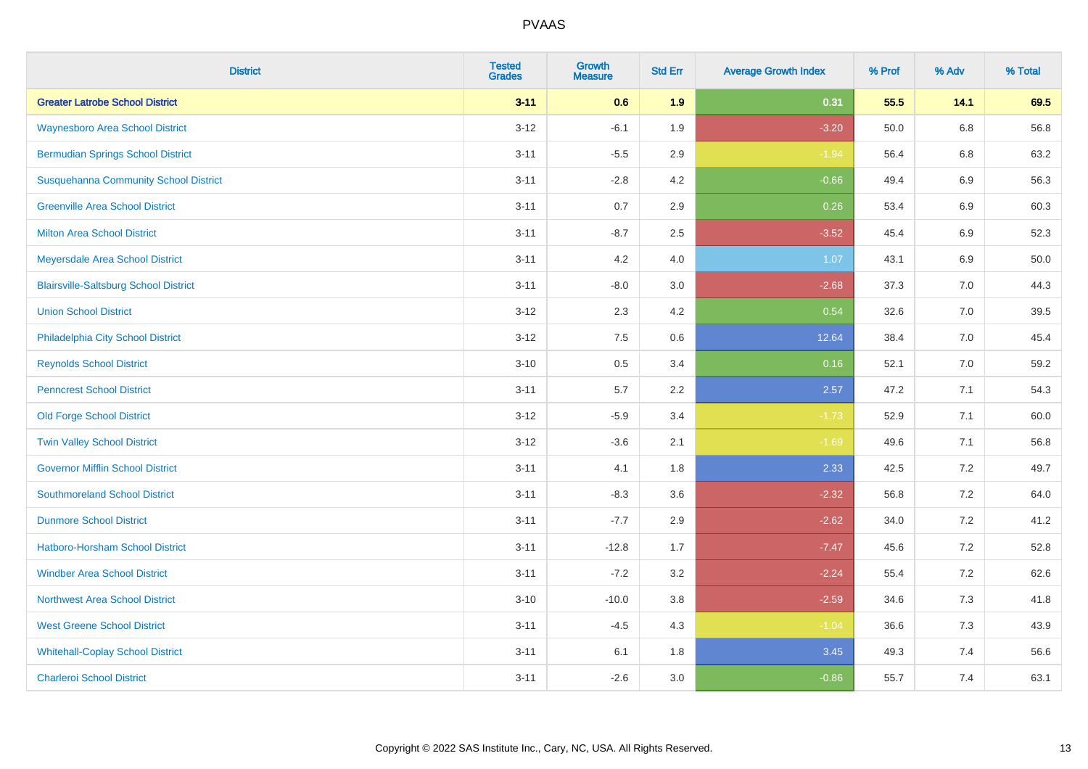| <b>District</b>                              | <b>Tested</b><br><b>Grades</b> | Growth<br><b>Measure</b> | <b>Std Err</b> | <b>Average Growth Index</b> | % Prof | % Adv   | % Total |
|----------------------------------------------|--------------------------------|--------------------------|----------------|-----------------------------|--------|---------|---------|
| <b>Greater Latrobe School District</b>       | $3 - 11$                       | 0.6                      | 1.9            | 0.31                        | 55.5   | 14.1    | 69.5    |
| <b>Waynesboro Area School District</b>       | $3 - 12$                       | $-6.1$                   | 1.9            | $-3.20$                     | 50.0   | $6.8\,$ | 56.8    |
| <b>Bermudian Springs School District</b>     | $3 - 11$                       | $-5.5$                   | 2.9            | $-1.94$                     | 56.4   | 6.8     | 63.2    |
| <b>Susquehanna Community School District</b> | $3 - 11$                       | $-2.8$                   | 4.2            | $-0.66$                     | 49.4   | $6.9\,$ | 56.3    |
| <b>Greenville Area School District</b>       | $3 - 11$                       | 0.7                      | 2.9            | 0.26                        | 53.4   | $6.9\,$ | 60.3    |
| <b>Milton Area School District</b>           | $3 - 11$                       | $-8.7$                   | 2.5            | $-3.52$                     | 45.4   | 6.9     | 52.3    |
| Meyersdale Area School District              | $3 - 11$                       | 4.2                      | 4.0            | 1.07                        | 43.1   | $6.9\,$ | 50.0    |
| <b>Blairsville-Saltsburg School District</b> | $3 - 11$                       | $-8.0$                   | 3.0            | $-2.68$                     | 37.3   | 7.0     | 44.3    |
| <b>Union School District</b>                 | $3 - 12$                       | 2.3                      | 4.2            | 0.54                        | 32.6   | 7.0     | 39.5    |
| Philadelphia City School District            | $3 - 12$                       | 7.5                      | 0.6            | 12.64                       | 38.4   | 7.0     | 45.4    |
| <b>Reynolds School District</b>              | $3 - 10$                       | 0.5                      | 3.4            | 0.16                        | 52.1   | 7.0     | 59.2    |
| <b>Penncrest School District</b>             | $3 - 11$                       | 5.7                      | 2.2            | 2.57                        | 47.2   | 7.1     | 54.3    |
| <b>Old Forge School District</b>             | $3 - 12$                       | $-5.9$                   | 3.4            | $-1.73$                     | 52.9   | 7.1     | 60.0    |
| <b>Twin Valley School District</b>           | $3 - 12$                       | $-3.6$                   | 2.1            | $-1.69$                     | 49.6   | 7.1     | 56.8    |
| <b>Governor Mifflin School District</b>      | $3 - 11$                       | 4.1                      | 1.8            | 2.33                        | 42.5   | 7.2     | 49.7    |
| <b>Southmoreland School District</b>         | $3 - 11$                       | $-8.3$                   | 3.6            | $-2.32$                     | 56.8   | 7.2     | 64.0    |
| <b>Dunmore School District</b>               | $3 - 11$                       | $-7.7$                   | 2.9            | $-2.62$                     | 34.0   | 7.2     | 41.2    |
| <b>Hatboro-Horsham School District</b>       | $3 - 11$                       | $-12.8$                  | 1.7            | $-7.47$                     | 45.6   | 7.2     | 52.8    |
| <b>Windber Area School District</b>          | $3 - 11$                       | $-7.2$                   | 3.2            | $-2.24$                     | 55.4   | 7.2     | 62.6    |
| Northwest Area School District               | $3 - 10$                       | $-10.0$                  | 3.8            | $-2.59$                     | 34.6   | 7.3     | 41.8    |
| <b>West Greene School District</b>           | $3 - 11$                       | $-4.5$                   | 4.3            | $-1.04$                     | 36.6   | 7.3     | 43.9    |
| <b>Whitehall-Coplay School District</b>      | $3 - 11$                       | 6.1                      | 1.8            | 3.45                        | 49.3   | 7.4     | 56.6    |
| <b>Charleroi School District</b>             | $3 - 11$                       | $-2.6$                   | 3.0            | $-0.86$                     | 55.7   | 7.4     | 63.1    |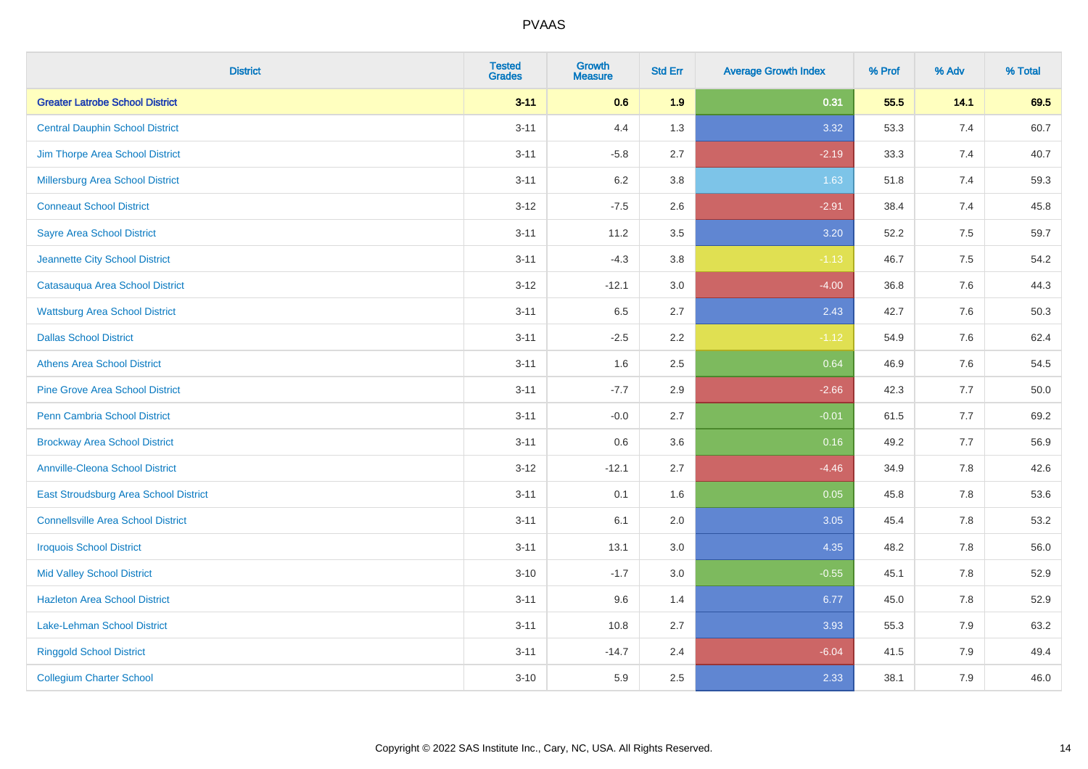| <b>District</b>                           | <b>Tested</b><br><b>Grades</b> | <b>Growth</b><br><b>Measure</b> | <b>Std Err</b> | <b>Average Growth Index</b> | % Prof | % Adv | % Total |
|-------------------------------------------|--------------------------------|---------------------------------|----------------|-----------------------------|--------|-------|---------|
| <b>Greater Latrobe School District</b>    | $3 - 11$                       | 0.6                             | 1.9            | 0.31                        | 55.5   | 14.1  | 69.5    |
| <b>Central Dauphin School District</b>    | $3 - 11$                       | 4.4                             | 1.3            | 3.32                        | 53.3   | 7.4   | 60.7    |
| Jim Thorpe Area School District           | $3 - 11$                       | $-5.8$                          | 2.7            | $-2.19$                     | 33.3   | 7.4   | 40.7    |
| Millersburg Area School District          | $3 - 11$                       | 6.2                             | $3.8\,$        | 1.63                        | 51.8   | 7.4   | 59.3    |
| <b>Conneaut School District</b>           | $3-12$                         | $-7.5$                          | 2.6            | $-2.91$                     | 38.4   | 7.4   | 45.8    |
| <b>Sayre Area School District</b>         | $3 - 11$                       | 11.2                            | 3.5            | 3.20                        | 52.2   | 7.5   | 59.7    |
| Jeannette City School District            | $3 - 11$                       | $-4.3$                          | 3.8            | $-1.13$                     | 46.7   | 7.5   | 54.2    |
| Catasauqua Area School District           | $3-12$                         | $-12.1$                         | 3.0            | $-4.00$                     | 36.8   | 7.6   | 44.3    |
| <b>Wattsburg Area School District</b>     | $3 - 11$                       | 6.5                             | 2.7            | 2.43                        | 42.7   | 7.6   | 50.3    |
| <b>Dallas School District</b>             | $3 - 11$                       | $-2.5$                          | 2.2            | $-1.12$                     | 54.9   | 7.6   | 62.4    |
| <b>Athens Area School District</b>        | $3 - 11$                       | 1.6                             | 2.5            | 0.64                        | 46.9   | 7.6   | 54.5    |
| <b>Pine Grove Area School District</b>    | $3 - 11$                       | $-7.7$                          | 2.9            | $-2.66$                     | 42.3   | 7.7   | 50.0    |
| Penn Cambria School District              | $3 - 11$                       | $-0.0$                          | 2.7            | $-0.01$                     | 61.5   | $7.7$ | 69.2    |
| <b>Brockway Area School District</b>      | $3 - 11$                       | 0.6                             | 3.6            | 0.16                        | 49.2   | 7.7   | 56.9    |
| <b>Annville-Cleona School District</b>    | $3-12$                         | $-12.1$                         | 2.7            | $-4.46$                     | 34.9   | 7.8   | 42.6    |
| East Stroudsburg Area School District     | $3 - 11$                       | 0.1                             | 1.6            | 0.05                        | 45.8   | 7.8   | 53.6    |
| <b>Connellsville Area School District</b> | $3 - 11$                       | 6.1                             | 2.0            | 3.05                        | 45.4   | 7.8   | 53.2    |
| <b>Iroquois School District</b>           | $3 - 11$                       | 13.1                            | 3.0            | 4.35                        | 48.2   | 7.8   | 56.0    |
| <b>Mid Valley School District</b>         | $3 - 10$                       | $-1.7$                          | 3.0            | $-0.55$                     | 45.1   | 7.8   | 52.9    |
| <b>Hazleton Area School District</b>      | $3 - 11$                       | 9.6                             | 1.4            | 6.77                        | 45.0   | 7.8   | 52.9    |
| Lake-Lehman School District               | $3 - 11$                       | 10.8                            | 2.7            | 3.93                        | 55.3   | 7.9   | 63.2    |
| <b>Ringgold School District</b>           | $3 - 11$                       | $-14.7$                         | 2.4            | $-6.04$                     | 41.5   | 7.9   | 49.4    |
| <b>Collegium Charter School</b>           | $3 - 10$                       | 5.9                             | 2.5            | 2.33                        | 38.1   | 7.9   | 46.0    |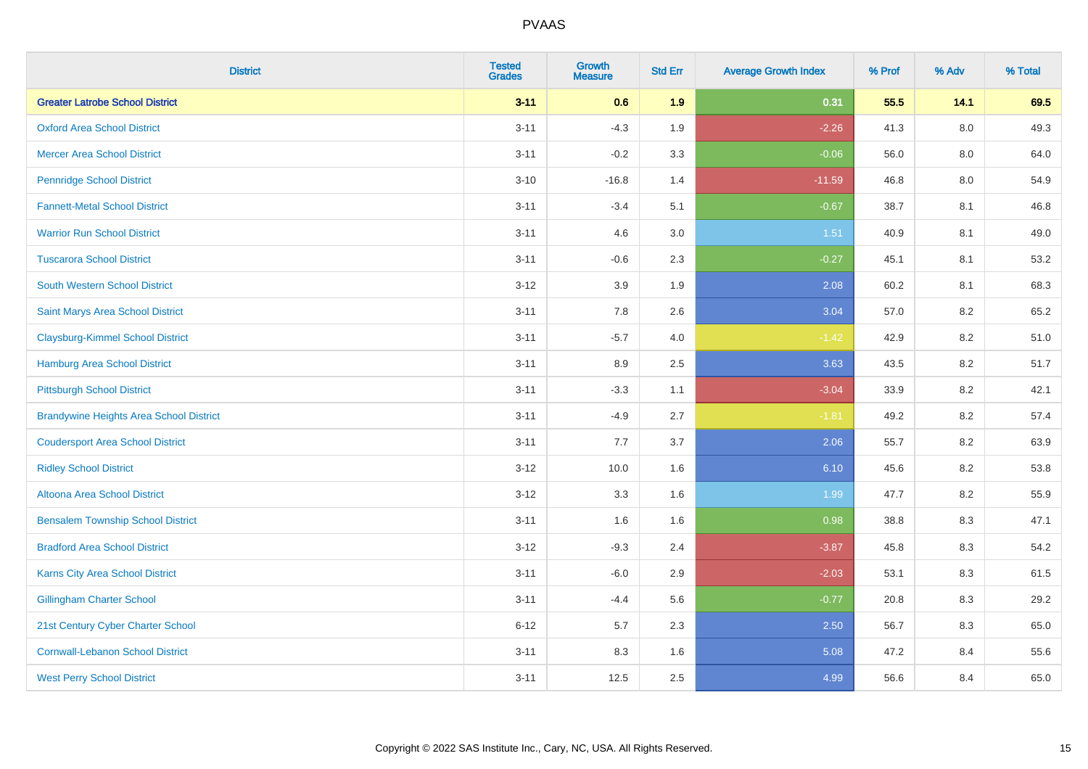| <b>District</b>                                | <b>Tested</b><br><b>Grades</b> | <b>Growth</b><br><b>Measure</b> | <b>Std Err</b> | <b>Average Growth Index</b> | % Prof | % Adv   | % Total |
|------------------------------------------------|--------------------------------|---------------------------------|----------------|-----------------------------|--------|---------|---------|
| <b>Greater Latrobe School District</b>         | $3 - 11$                       | 0.6                             | 1.9            | 0.31                        | 55.5   | 14.1    | 69.5    |
| <b>Oxford Area School District</b>             | $3 - 11$                       | $-4.3$                          | 1.9            | $-2.26$                     | 41.3   | $8.0\,$ | 49.3    |
| <b>Mercer Area School District</b>             | $3 - 11$                       | $-0.2$                          | 3.3            | $-0.06$                     | 56.0   | 8.0     | 64.0    |
| <b>Pennridge School District</b>               | $3 - 10$                       | $-16.8$                         | 1.4            | $-11.59$                    | 46.8   | $8.0\,$ | 54.9    |
| <b>Fannett-Metal School District</b>           | $3 - 11$                       | $-3.4$                          | 5.1            | $-0.67$                     | 38.7   | 8.1     | 46.8    |
| <b>Warrior Run School District</b>             | $3 - 11$                       | 4.6                             | 3.0            | 1.51                        | 40.9   | 8.1     | 49.0    |
| <b>Tuscarora School District</b>               | $3 - 11$                       | $-0.6$                          | 2.3            | $-0.27$                     | 45.1   | 8.1     | 53.2    |
| <b>South Western School District</b>           | $3 - 12$                       | 3.9                             | 1.9            | 2.08                        | 60.2   | 8.1     | 68.3    |
| Saint Marys Area School District               | $3 - 11$                       | 7.8                             | 2.6            | 3.04                        | 57.0   | 8.2     | 65.2    |
| <b>Claysburg-Kimmel School District</b>        | $3 - 11$                       | $-5.7$                          | 4.0            | $-1.42$                     | 42.9   | $8.2\,$ | 51.0    |
| Hamburg Area School District                   | $3 - 11$                       | 8.9                             | 2.5            | 3.63                        | 43.5   | 8.2     | 51.7    |
| <b>Pittsburgh School District</b>              | $3 - 11$                       | $-3.3$                          | 1.1            | $-3.04$                     | 33.9   | 8.2     | 42.1    |
| <b>Brandywine Heights Area School District</b> | $3 - 11$                       | $-4.9$                          | 2.7            | $-1.81$                     | 49.2   | 8.2     | 57.4    |
| <b>Coudersport Area School District</b>        | $3 - 11$                       | 7.7                             | 3.7            | 2.06                        | 55.7   | 8.2     | 63.9    |
| <b>Ridley School District</b>                  | $3-12$                         | 10.0                            | 1.6            | 6.10                        | 45.6   | 8.2     | 53.8    |
| Altoona Area School District                   | $3 - 12$                       | 3.3                             | 1.6            | 1.99                        | 47.7   | 8.2     | 55.9    |
| <b>Bensalem Township School District</b>       | $3 - 11$                       | 1.6                             | 1.6            | 0.98                        | 38.8   | 8.3     | 47.1    |
| <b>Bradford Area School District</b>           | $3-12$                         | $-9.3$                          | 2.4            | $-3.87$                     | 45.8   | 8.3     | 54.2    |
| Karns City Area School District                | $3 - 11$                       | $-6.0$                          | 2.9            | $-2.03$                     | 53.1   | 8.3     | 61.5    |
| <b>Gillingham Charter School</b>               | $3 - 11$                       | $-4.4$                          | 5.6            | $-0.77$                     | 20.8   | 8.3     | 29.2    |
| 21st Century Cyber Charter School              | $6 - 12$                       | 5.7                             | 2.3            | 2.50                        | 56.7   | 8.3     | 65.0    |
| <b>Cornwall-Lebanon School District</b>        | $3 - 11$                       | 8.3                             | 1.6            | 5.08                        | 47.2   | 8.4     | 55.6    |
| <b>West Perry School District</b>              | $3 - 11$                       | 12.5                            | 2.5            | 4.99                        | 56.6   | 8.4     | 65.0    |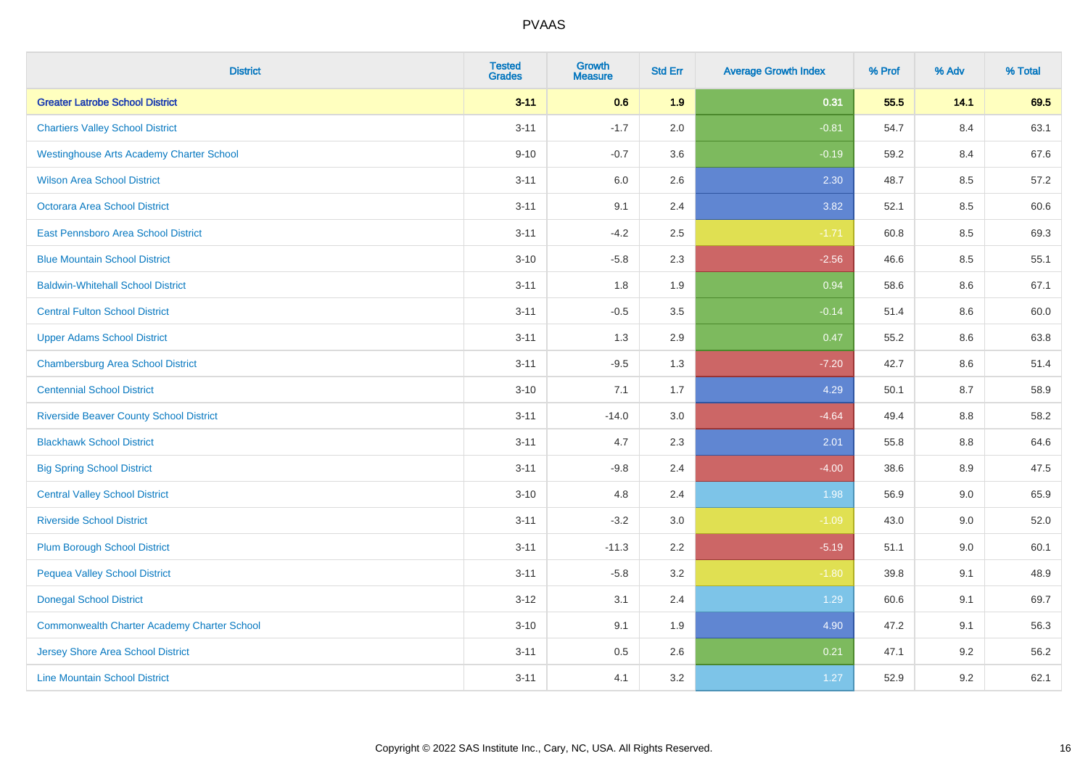| <b>District</b>                                    | <b>Tested</b><br><b>Grades</b> | <b>Growth</b><br><b>Measure</b> | <b>Std Err</b> | <b>Average Growth Index</b> | % Prof | % Adv | % Total |
|----------------------------------------------------|--------------------------------|---------------------------------|----------------|-----------------------------|--------|-------|---------|
| <b>Greater Latrobe School District</b>             | $3 - 11$                       | 0.6                             | 1.9            | 0.31                        | 55.5   | 14.1  | 69.5    |
| <b>Chartiers Valley School District</b>            | $3 - 11$                       | $-1.7$                          | 2.0            | $-0.81$                     | 54.7   | 8.4   | 63.1    |
| <b>Westinghouse Arts Academy Charter School</b>    | $9 - 10$                       | $-0.7$                          | 3.6            | $-0.19$                     | 59.2   | 8.4   | 67.6    |
| <b>Wilson Area School District</b>                 | $3 - 11$                       | $6.0\,$                         | 2.6            | 2.30                        | 48.7   | 8.5   | 57.2    |
| Octorara Area School District                      | $3 - 11$                       | 9.1                             | 2.4            | 3.82                        | 52.1   | 8.5   | 60.6    |
| East Pennsboro Area School District                | $3 - 11$                       | $-4.2$                          | 2.5            | $-1.71$                     | 60.8   | 8.5   | 69.3    |
| <b>Blue Mountain School District</b>               | $3 - 10$                       | $-5.8$                          | 2.3            | $-2.56$                     | 46.6   | 8.5   | 55.1    |
| <b>Baldwin-Whitehall School District</b>           | $3 - 11$                       | 1.8                             | 1.9            | 0.94                        | 58.6   | 8.6   | 67.1    |
| <b>Central Fulton School District</b>              | $3 - 11$                       | $-0.5$                          | 3.5            | $-0.14$                     | 51.4   | 8.6   | 60.0    |
| <b>Upper Adams School District</b>                 | $3 - 11$                       | 1.3                             | 2.9            | 0.47                        | 55.2   | 8.6   | 63.8    |
| <b>Chambersburg Area School District</b>           | $3 - 11$                       | $-9.5$                          | 1.3            | $-7.20$                     | 42.7   | 8.6   | 51.4    |
| <b>Centennial School District</b>                  | $3 - 10$                       | 7.1                             | 1.7            | 4.29                        | 50.1   | 8.7   | 58.9    |
| <b>Riverside Beaver County School District</b>     | $3 - 11$                       | $-14.0$                         | 3.0            | $-4.64$                     | 49.4   | 8.8   | 58.2    |
| <b>Blackhawk School District</b>                   | $3 - 11$                       | 4.7                             | 2.3            | 2.01                        | 55.8   | 8.8   | 64.6    |
| <b>Big Spring School District</b>                  | $3 - 11$                       | $-9.8$                          | 2.4            | $-4.00$                     | 38.6   | 8.9   | 47.5    |
| <b>Central Valley School District</b>              | $3 - 10$                       | 4.8                             | 2.4            | 1.98                        | 56.9   | 9.0   | 65.9    |
| <b>Riverside School District</b>                   | $3 - 11$                       | $-3.2$                          | 3.0            | $-1.09$                     | 43.0   | 9.0   | 52.0    |
| <b>Plum Borough School District</b>                | $3 - 11$                       | $-11.3$                         | 2.2            | $-5.19$                     | 51.1   | 9.0   | 60.1    |
| <b>Pequea Valley School District</b>               | $3 - 11$                       | $-5.8$                          | 3.2            | $-1.80$                     | 39.8   | 9.1   | 48.9    |
| <b>Donegal School District</b>                     | $3 - 12$                       | 3.1                             | 2.4            | 1.29                        | 60.6   | 9.1   | 69.7    |
| <b>Commonwealth Charter Academy Charter School</b> | $3 - 10$                       | 9.1                             | 1.9            | 4.90                        | 47.2   | 9.1   | 56.3    |
| <b>Jersey Shore Area School District</b>           | $3 - 11$                       | $0.5\,$                         | 2.6            | 0.21                        | 47.1   | 9.2   | 56.2    |
| <b>Line Mountain School District</b>               | $3 - 11$                       | 4.1                             | 3.2            | 1.27                        | 52.9   | 9.2   | 62.1    |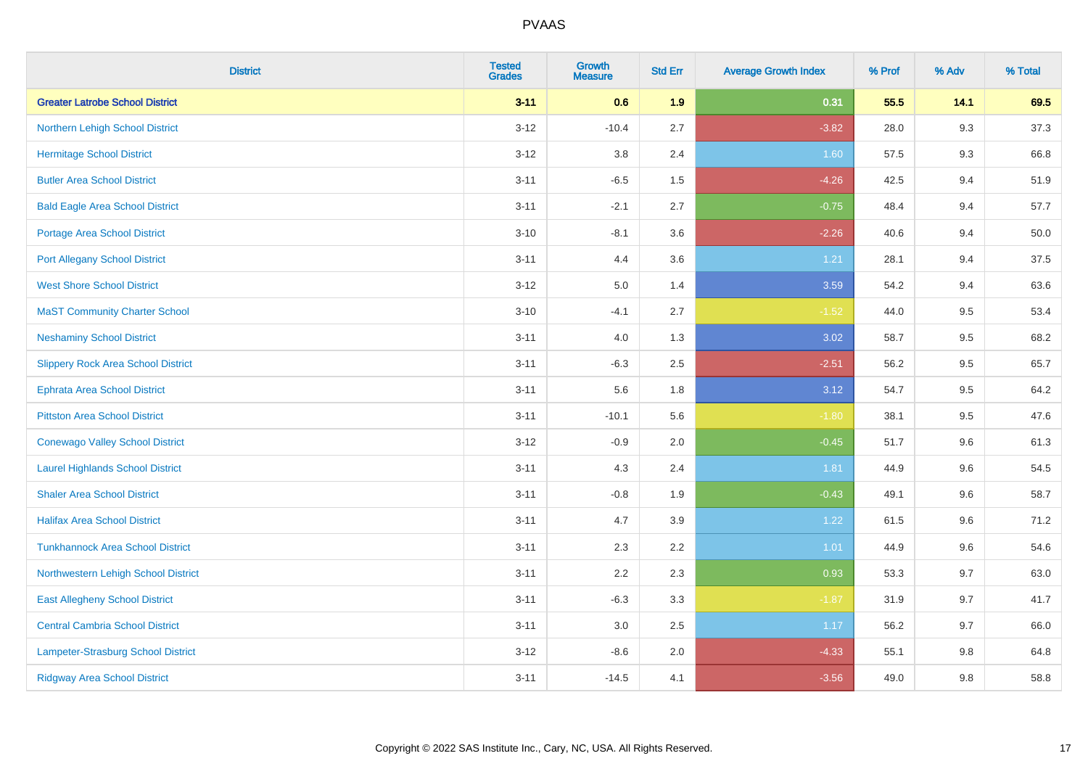| <b>District</b>                           | <b>Tested</b><br><b>Grades</b> | <b>Growth</b><br><b>Measure</b> | <b>Std Err</b> | <b>Average Growth Index</b> | % Prof | % Adv | % Total |
|-------------------------------------------|--------------------------------|---------------------------------|----------------|-----------------------------|--------|-------|---------|
| <b>Greater Latrobe School District</b>    | $3 - 11$                       | 0.6                             | 1.9            | 0.31                        | 55.5   | 14.1  | 69.5    |
| Northern Lehigh School District           | $3 - 12$                       | $-10.4$                         | 2.7            | $-3.82$                     | 28.0   | 9.3   | 37.3    |
| <b>Hermitage School District</b>          | $3 - 12$                       | 3.8                             | 2.4            | 1.60                        | 57.5   | 9.3   | 66.8    |
| <b>Butler Area School District</b>        | $3 - 11$                       | $-6.5$                          | 1.5            | $-4.26$                     | 42.5   | 9.4   | 51.9    |
| <b>Bald Eagle Area School District</b>    | $3 - 11$                       | $-2.1$                          | 2.7            | $-0.75$                     | 48.4   | 9.4   | 57.7    |
| Portage Area School District              | $3 - 10$                       | $-8.1$                          | 3.6            | $-2.26$                     | 40.6   | 9.4   | 50.0    |
| <b>Port Allegany School District</b>      | $3 - 11$                       | 4.4                             | 3.6            | 1.21                        | 28.1   | 9.4   | 37.5    |
| <b>West Shore School District</b>         | $3 - 12$                       | 5.0                             | 1.4            | 3.59                        | 54.2   | 9.4   | 63.6    |
| <b>MaST Community Charter School</b>      | $3 - 10$                       | $-4.1$                          | 2.7            | $-1.52$                     | 44.0   | 9.5   | 53.4    |
| <b>Neshaminy School District</b>          | $3 - 11$                       | 4.0                             | 1.3            | 3.02                        | 58.7   | 9.5   | 68.2    |
| <b>Slippery Rock Area School District</b> | $3 - 11$                       | $-6.3$                          | 2.5            | $-2.51$                     | 56.2   | 9.5   | 65.7    |
| Ephrata Area School District              | $3 - 11$                       | 5.6                             | 1.8            | 3.12                        | 54.7   | 9.5   | 64.2    |
| <b>Pittston Area School District</b>      | $3 - 11$                       | $-10.1$                         | 5.6            | $-1.80$                     | 38.1   | 9.5   | 47.6    |
| <b>Conewago Valley School District</b>    | $3 - 12$                       | $-0.9$                          | 2.0            | $-0.45$                     | 51.7   | 9.6   | 61.3    |
| <b>Laurel Highlands School District</b>   | $3 - 11$                       | 4.3                             | 2.4            | 1.81                        | 44.9   | 9.6   | 54.5    |
| <b>Shaler Area School District</b>        | $3 - 11$                       | $-0.8$                          | 1.9            | $-0.43$                     | 49.1   | 9.6   | 58.7    |
| <b>Halifax Area School District</b>       | $3 - 11$                       | 4.7                             | 3.9            | 1.22                        | 61.5   | 9.6   | 71.2    |
| <b>Tunkhannock Area School District</b>   | $3 - 11$                       | 2.3                             | 2.2            | 1.01                        | 44.9   | 9.6   | 54.6    |
| Northwestern Lehigh School District       | $3 - 11$                       | 2.2                             | 2.3            | 0.93                        | 53.3   | 9.7   | 63.0    |
| <b>East Allegheny School District</b>     | $3 - 11$                       | $-6.3$                          | 3.3            | $-1.87$                     | 31.9   | 9.7   | 41.7    |
| <b>Central Cambria School District</b>    | $3 - 11$                       | 3.0                             | 2.5            | 1.17                        | 56.2   | 9.7   | 66.0    |
| Lampeter-Strasburg School District        | $3 - 12$                       | $-8.6$                          | 2.0            | $-4.33$                     | 55.1   | 9.8   | 64.8    |
| <b>Ridgway Area School District</b>       | $3 - 11$                       | $-14.5$                         | 4.1            | $-3.56$                     | 49.0   | 9.8   | 58.8    |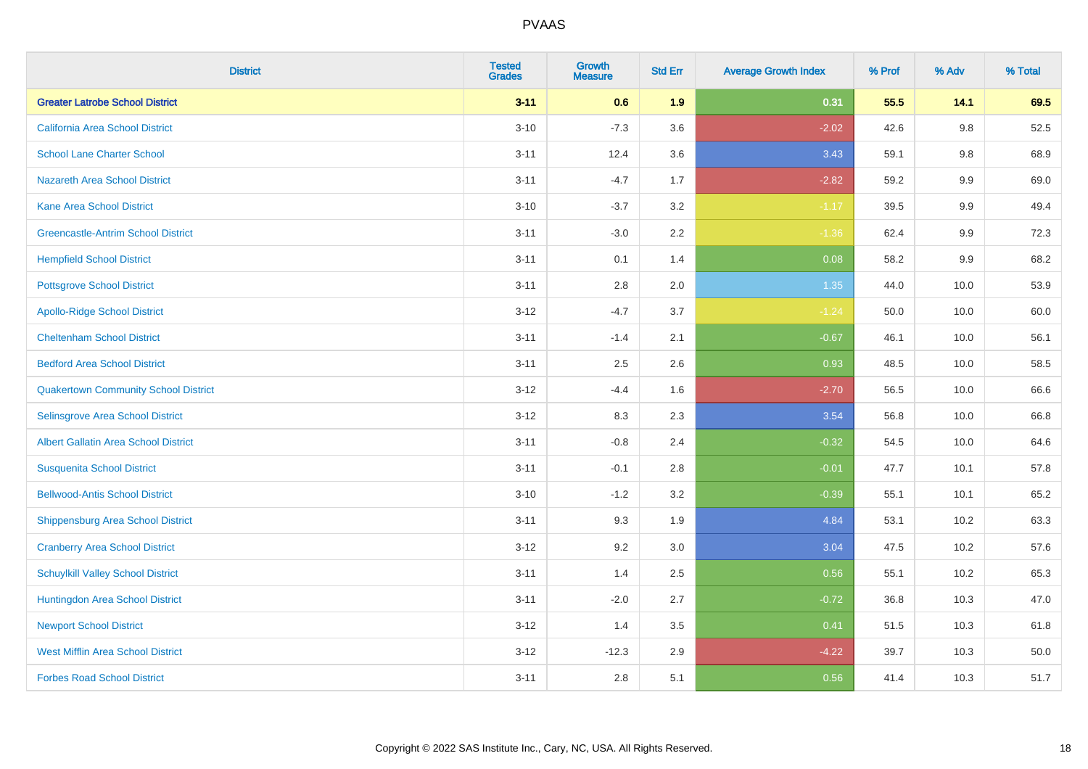| <b>District</b>                             | <b>Tested</b><br><b>Grades</b> | <b>Growth</b><br><b>Measure</b> | <b>Std Err</b> | <b>Average Growth Index</b> | % Prof | % Adv   | % Total |
|---------------------------------------------|--------------------------------|---------------------------------|----------------|-----------------------------|--------|---------|---------|
| <b>Greater Latrobe School District</b>      | $3 - 11$                       | 0.6                             | 1.9            | 0.31                        | 55.5   | 14.1    | 69.5    |
| <b>California Area School District</b>      | $3 - 10$                       | $-7.3$                          | 3.6            | $-2.02$                     | 42.6   | $9.8\,$ | 52.5    |
| <b>School Lane Charter School</b>           | $3 - 11$                       | 12.4                            | 3.6            | 3.43                        | 59.1   | 9.8     | 68.9    |
| <b>Nazareth Area School District</b>        | $3 - 11$                       | $-4.7$                          | 1.7            | $-2.82$                     | 59.2   | $9.9\,$ | 69.0    |
| <b>Kane Area School District</b>            | $3 - 10$                       | $-3.7$                          | 3.2            | $-1.17$                     | 39.5   | 9.9     | 49.4    |
| <b>Greencastle-Antrim School District</b>   | $3 - 11$                       | $-3.0$                          | 2.2            | $-1.36$                     | 62.4   | 9.9     | 72.3    |
| <b>Hempfield School District</b>            | $3 - 11$                       | 0.1                             | 1.4            | 0.08                        | 58.2   | 9.9     | 68.2    |
| <b>Pottsgrove School District</b>           | $3 - 11$                       | 2.8                             | 2.0            | 1.35                        | 44.0   | 10.0    | 53.9    |
| <b>Apollo-Ridge School District</b>         | $3 - 12$                       | $-4.7$                          | 3.7            | $-1.24$                     | 50.0   | 10.0    | 60.0    |
| <b>Cheltenham School District</b>           | $3 - 11$                       | $-1.4$                          | 2.1            | $-0.67$                     | 46.1   | 10.0    | 56.1    |
| <b>Bedford Area School District</b>         | $3 - 11$                       | 2.5                             | 2.6            | 0.93                        | 48.5   | 10.0    | 58.5    |
| <b>Quakertown Community School District</b> | $3 - 12$                       | $-4.4$                          | 1.6            | $-2.70$                     | 56.5   | 10.0    | 66.6    |
| Selinsgrove Area School District            | $3 - 12$                       | 8.3                             | 2.3            | 3.54                        | 56.8   | 10.0    | 66.8    |
| <b>Albert Gallatin Area School District</b> | $3 - 11$                       | $-0.8$                          | 2.4            | $-0.32$                     | 54.5   | 10.0    | 64.6    |
| <b>Susquenita School District</b>           | $3 - 11$                       | $-0.1$                          | 2.8            | $-0.01$                     | 47.7   | 10.1    | 57.8    |
| <b>Bellwood-Antis School District</b>       | $3 - 10$                       | $-1.2$                          | 3.2            | $-0.39$                     | 55.1   | 10.1    | 65.2    |
| <b>Shippensburg Area School District</b>    | $3 - 11$                       | 9.3                             | 1.9            | 4.84                        | 53.1   | 10.2    | 63.3    |
| <b>Cranberry Area School District</b>       | $3 - 12$                       | 9.2                             | 3.0            | 3.04                        | 47.5   | 10.2    | 57.6    |
| <b>Schuylkill Valley School District</b>    | $3 - 11$                       | 1.4                             | 2.5            | 0.56                        | 55.1   | 10.2    | 65.3    |
| Huntingdon Area School District             | $3 - 11$                       | $-2.0$                          | 2.7            | $-0.72$                     | 36.8   | 10.3    | 47.0    |
| <b>Newport School District</b>              | $3 - 12$                       | 1.4                             | 3.5            | 0.41                        | 51.5   | 10.3    | 61.8    |
| <b>West Mifflin Area School District</b>    | $3 - 12$                       | $-12.3$                         | 2.9            | $-4.22$                     | 39.7   | 10.3    | 50.0    |
| <b>Forbes Road School District</b>          | $3 - 11$                       | 2.8                             | 5.1            | 0.56                        | 41.4   | 10.3    | 51.7    |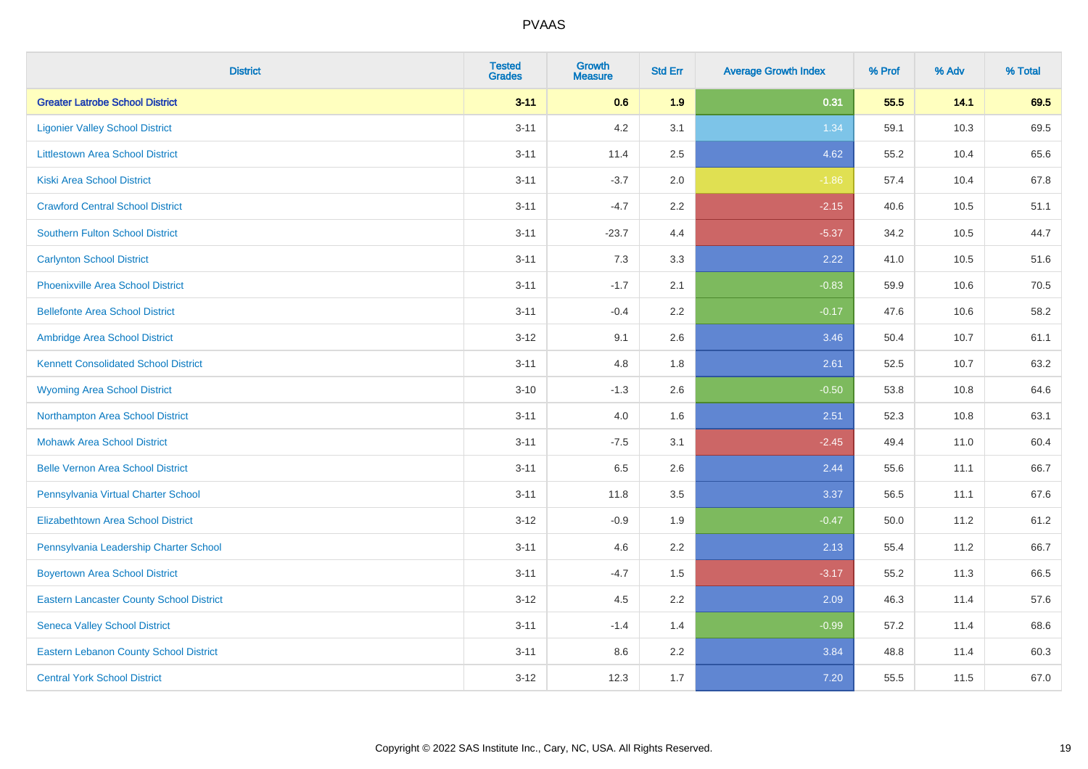| <b>District</b>                                 | <b>Tested</b><br><b>Grades</b> | <b>Growth</b><br><b>Measure</b> | <b>Std Err</b> | <b>Average Growth Index</b> | % Prof | % Adv | % Total |
|-------------------------------------------------|--------------------------------|---------------------------------|----------------|-----------------------------|--------|-------|---------|
| <b>Greater Latrobe School District</b>          | $3 - 11$                       | 0.6                             | 1.9            | 0.31                        | 55.5   | 14.1  | 69.5    |
| <b>Ligonier Valley School District</b>          | $3 - 11$                       | 4.2                             | 3.1            | 1.34                        | 59.1   | 10.3  | 69.5    |
| <b>Littlestown Area School District</b>         | $3 - 11$                       | 11.4                            | 2.5            | 4.62                        | 55.2   | 10.4  | 65.6    |
| <b>Kiski Area School District</b>               | $3 - 11$                       | $-3.7$                          | 2.0            | $-1.86$                     | 57.4   | 10.4  | 67.8    |
| <b>Crawford Central School District</b>         | $3 - 11$                       | $-4.7$                          | 2.2            | $-2.15$                     | 40.6   | 10.5  | 51.1    |
| <b>Southern Fulton School District</b>          | $3 - 11$                       | $-23.7$                         | 4.4            | $-5.37$                     | 34.2   | 10.5  | 44.7    |
| <b>Carlynton School District</b>                | $3 - 11$                       | 7.3                             | 3.3            | 2.22                        | 41.0   | 10.5  | 51.6    |
| <b>Phoenixville Area School District</b>        | $3 - 11$                       | $-1.7$                          | 2.1            | $-0.83$                     | 59.9   | 10.6  | 70.5    |
| <b>Bellefonte Area School District</b>          | $3 - 11$                       | $-0.4$                          | $2.2^{\circ}$  | $-0.17$                     | 47.6   | 10.6  | 58.2    |
| Ambridge Area School District                   | $3-12$                         | 9.1                             | 2.6            | 3.46                        | 50.4   | 10.7  | 61.1    |
| <b>Kennett Consolidated School District</b>     | $3 - 11$                       | 4.8                             | 1.8            | 2.61                        | 52.5   | 10.7  | 63.2    |
| <b>Wyoming Area School District</b>             | $3 - 10$                       | $-1.3$                          | 2.6            | $-0.50$                     | 53.8   | 10.8  | 64.6    |
| Northampton Area School District                | $3 - 11$                       | 4.0                             | 1.6            | 2.51                        | 52.3   | 10.8  | 63.1    |
| <b>Mohawk Area School District</b>              | $3 - 11$                       | $-7.5$                          | 3.1            | $-2.45$                     | 49.4   | 11.0  | 60.4    |
| <b>Belle Vernon Area School District</b>        | $3 - 11$                       | 6.5                             | 2.6            | 2.44                        | 55.6   | 11.1  | 66.7    |
| Pennsylvania Virtual Charter School             | $3 - 11$                       | 11.8                            | 3.5            | 3.37                        | 56.5   | 11.1  | 67.6    |
| <b>Elizabethtown Area School District</b>       | $3-12$                         | $-0.9$                          | 1.9            | $-0.47$                     | 50.0   | 11.2  | 61.2    |
| Pennsylvania Leadership Charter School          | $3 - 11$                       | 4.6                             | 2.2            | 2.13                        | 55.4   | 11.2  | 66.7    |
| <b>Boyertown Area School District</b>           | $3 - 11$                       | $-4.7$                          | 1.5            | $-3.17$                     | 55.2   | 11.3  | 66.5    |
| <b>Eastern Lancaster County School District</b> | $3 - 12$                       | 4.5                             | 2.2            | 2.09                        | 46.3   | 11.4  | 57.6    |
| <b>Seneca Valley School District</b>            | $3 - 11$                       | $-1.4$                          | 1.4            | $-0.99$                     | 57.2   | 11.4  | 68.6    |
| <b>Eastern Lebanon County School District</b>   | $3 - 11$                       | 8.6                             | 2.2            | 3.84                        | 48.8   | 11.4  | 60.3    |
| <b>Central York School District</b>             | $3 - 12$                       | 12.3                            | 1.7            | 7.20                        | 55.5   | 11.5  | 67.0    |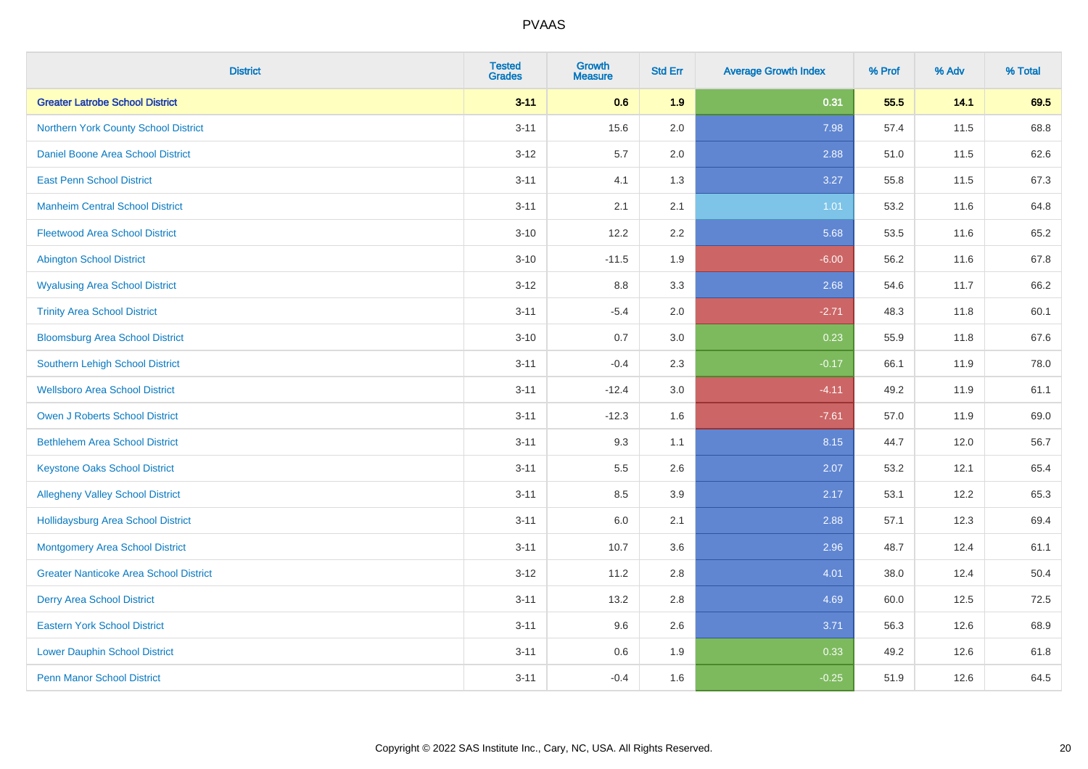| <b>District</b>                               | <b>Tested</b><br><b>Grades</b> | <b>Growth</b><br><b>Measure</b> | <b>Std Err</b> | <b>Average Growth Index</b> | % Prof | % Adv | % Total |
|-----------------------------------------------|--------------------------------|---------------------------------|----------------|-----------------------------|--------|-------|---------|
| <b>Greater Latrobe School District</b>        | $3 - 11$                       | 0.6                             | 1.9            | 0.31                        | 55.5   | 14.1  | 69.5    |
| Northern York County School District          | $3 - 11$                       | 15.6                            | 2.0            | 7.98                        | 57.4   | 11.5  | 68.8    |
| <b>Daniel Boone Area School District</b>      | $3 - 12$                       | 5.7                             | 2.0            | 2.88                        | 51.0   | 11.5  | 62.6    |
| <b>East Penn School District</b>              | $3 - 11$                       | 4.1                             | 1.3            | 3.27                        | 55.8   | 11.5  | 67.3    |
| <b>Manheim Central School District</b>        | $3 - 11$                       | 2.1                             | 2.1            | 1.01                        | 53.2   | 11.6  | 64.8    |
| <b>Fleetwood Area School District</b>         | $3 - 10$                       | 12.2                            | 2.2            | 5.68                        | 53.5   | 11.6  | 65.2    |
| <b>Abington School District</b>               | $3 - 10$                       | $-11.5$                         | 1.9            | $-6.00$                     | 56.2   | 11.6  | 67.8    |
| <b>Wyalusing Area School District</b>         | $3 - 12$                       | $8.8\,$                         | 3.3            | 2.68                        | 54.6   | 11.7  | 66.2    |
| <b>Trinity Area School District</b>           | $3 - 11$                       | $-5.4$                          | 2.0            | $-2.71$                     | 48.3   | 11.8  | 60.1    |
| <b>Bloomsburg Area School District</b>        | $3 - 10$                       | 0.7                             | 3.0            | 0.23                        | 55.9   | 11.8  | 67.6    |
| Southern Lehigh School District               | $3 - 11$                       | $-0.4$                          | 2.3            | $-0.17$                     | 66.1   | 11.9  | 78.0    |
| <b>Wellsboro Area School District</b>         | $3 - 11$                       | $-12.4$                         | 3.0            | $-4.11$                     | 49.2   | 11.9  | 61.1    |
| Owen J Roberts School District                | $3 - 11$                       | $-12.3$                         | 1.6            | $-7.61$                     | 57.0   | 11.9  | 69.0    |
| <b>Bethlehem Area School District</b>         | $3 - 11$                       | 9.3                             | 1.1            | 8.15                        | 44.7   | 12.0  | 56.7    |
| <b>Keystone Oaks School District</b>          | $3 - 11$                       | $5.5\,$                         | 2.6            | 2.07                        | 53.2   | 12.1  | 65.4    |
| <b>Allegheny Valley School District</b>       | $3 - 11$                       | 8.5                             | 3.9            | 2.17                        | 53.1   | 12.2  | 65.3    |
| <b>Hollidaysburg Area School District</b>     | $3 - 11$                       | 6.0                             | 2.1            | 2.88                        | 57.1   | 12.3  | 69.4    |
| Montgomery Area School District               | $3 - 11$                       | 10.7                            | 3.6            | 2.96                        | 48.7   | 12.4  | 61.1    |
| <b>Greater Nanticoke Area School District</b> | $3 - 12$                       | 11.2                            | 2.8            | 4.01                        | 38.0   | 12.4  | 50.4    |
| <b>Derry Area School District</b>             | $3 - 11$                       | 13.2                            | 2.8            | 4.69                        | 60.0   | 12.5  | 72.5    |
| <b>Eastern York School District</b>           | $3 - 11$                       | 9.6                             | 2.6            | 3.71                        | 56.3   | 12.6  | 68.9    |
| <b>Lower Dauphin School District</b>          | $3 - 11$                       | 0.6                             | 1.9            | 0.33                        | 49.2   | 12.6  | 61.8    |
| <b>Penn Manor School District</b>             | $3 - 11$                       | $-0.4$                          | 1.6            | $-0.25$                     | 51.9   | 12.6  | 64.5    |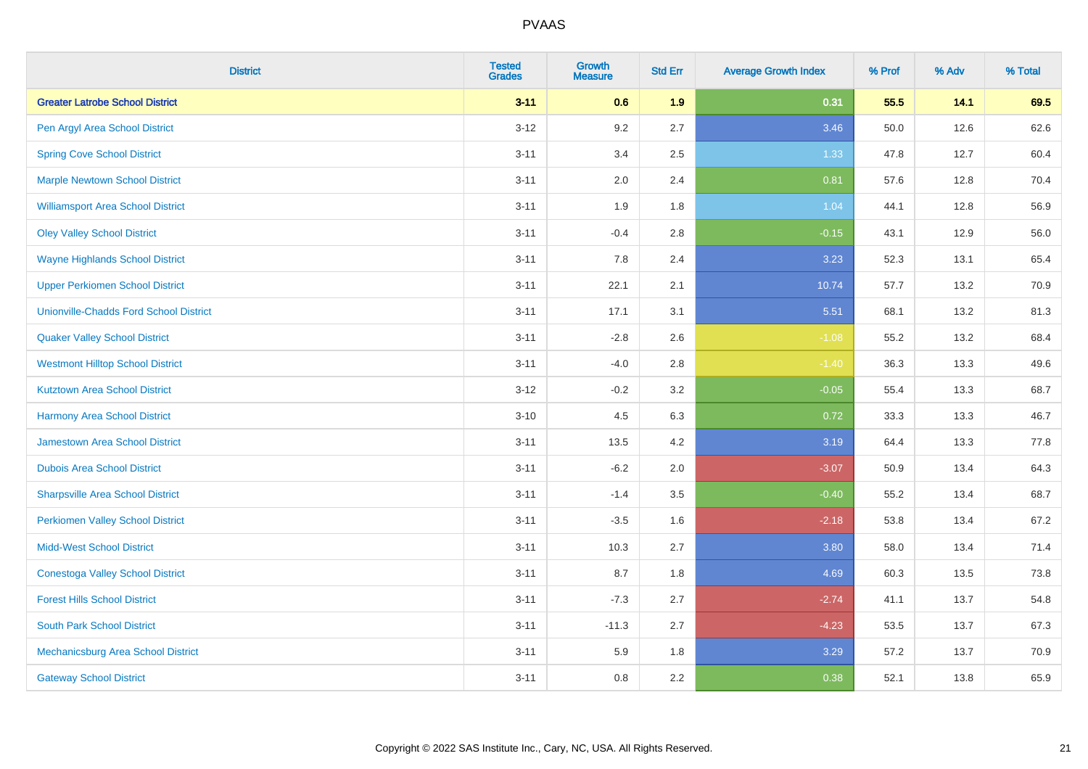| <b>District</b>                               | <b>Tested</b><br><b>Grades</b> | Growth<br><b>Measure</b> | <b>Std Err</b> | <b>Average Growth Index</b> | % Prof | % Adv | % Total |
|-----------------------------------------------|--------------------------------|--------------------------|----------------|-----------------------------|--------|-------|---------|
| <b>Greater Latrobe School District</b>        | $3 - 11$                       | 0.6                      | 1.9            | 0.31                        | 55.5   | 14.1  | 69.5    |
| Pen Argyl Area School District                | $3 - 12$                       | 9.2                      | 2.7            | 3.46                        | 50.0   | 12.6  | 62.6    |
| <b>Spring Cove School District</b>            | $3 - 11$                       | 3.4                      | 2.5            | 1.33                        | 47.8   | 12.7  | 60.4    |
| <b>Marple Newtown School District</b>         | $3 - 11$                       | 2.0                      | 2.4            | 0.81                        | 57.6   | 12.8  | 70.4    |
| <b>Williamsport Area School District</b>      | $3 - 11$                       | 1.9                      | 1.8            | 1.04                        | 44.1   | 12.8  | 56.9    |
| <b>Oley Valley School District</b>            | $3 - 11$                       | $-0.4$                   | 2.8            | $-0.15$                     | 43.1   | 12.9  | 56.0    |
| <b>Wayne Highlands School District</b>        | $3 - 11$                       | 7.8                      | 2.4            | 3.23                        | 52.3   | 13.1  | 65.4    |
| <b>Upper Perkiomen School District</b>        | $3 - 11$                       | 22.1                     | 2.1            | 10.74                       | 57.7   | 13.2  | 70.9    |
| <b>Unionville-Chadds Ford School District</b> | $3 - 11$                       | 17.1                     | 3.1            | 5.51                        | 68.1   | 13.2  | 81.3    |
| <b>Quaker Valley School District</b>          | $3 - 11$                       | $-2.8$                   | 2.6            | $-1.08$                     | 55.2   | 13.2  | 68.4    |
| <b>Westmont Hilltop School District</b>       | $3 - 11$                       | $-4.0$                   | 2.8            | $-1.40$                     | 36.3   | 13.3  | 49.6    |
| <b>Kutztown Area School District</b>          | $3 - 12$                       | $-0.2$                   | 3.2            | $-0.05$                     | 55.4   | 13.3  | 68.7    |
| <b>Harmony Area School District</b>           | $3 - 10$                       | 4.5                      | 6.3            | 0.72                        | 33.3   | 13.3  | 46.7    |
| Jamestown Area School District                | $3 - 11$                       | 13.5                     | 4.2            | 3.19                        | 64.4   | 13.3  | 77.8    |
| <b>Dubois Area School District</b>            | $3 - 11$                       | $-6.2$                   | 2.0            | $-3.07$                     | 50.9   | 13.4  | 64.3    |
| <b>Sharpsville Area School District</b>       | $3 - 11$                       | $-1.4$                   | 3.5            | $-0.40$                     | 55.2   | 13.4  | 68.7    |
| <b>Perkiomen Valley School District</b>       | $3 - 11$                       | $-3.5$                   | 1.6            | $-2.18$                     | 53.8   | 13.4  | 67.2    |
| <b>Midd-West School District</b>              | $3 - 11$                       | 10.3                     | 2.7            | 3.80                        | 58.0   | 13.4  | 71.4    |
| <b>Conestoga Valley School District</b>       | $3 - 11$                       | 8.7                      | 1.8            | 4.69                        | 60.3   | 13.5  | 73.8    |
| <b>Forest Hills School District</b>           | $3 - 11$                       | $-7.3$                   | 2.7            | $-2.74$                     | 41.1   | 13.7  | 54.8    |
| <b>South Park School District</b>             | $3 - 11$                       | $-11.3$                  | 2.7            | $-4.23$                     | 53.5   | 13.7  | 67.3    |
| Mechanicsburg Area School District            | $3 - 11$                       | 5.9                      | 1.8            | 3.29                        | 57.2   | 13.7  | 70.9    |
| <b>Gateway School District</b>                | $3 - 11$                       | 0.8                      | 2.2            | 0.38                        | 52.1   | 13.8  | 65.9    |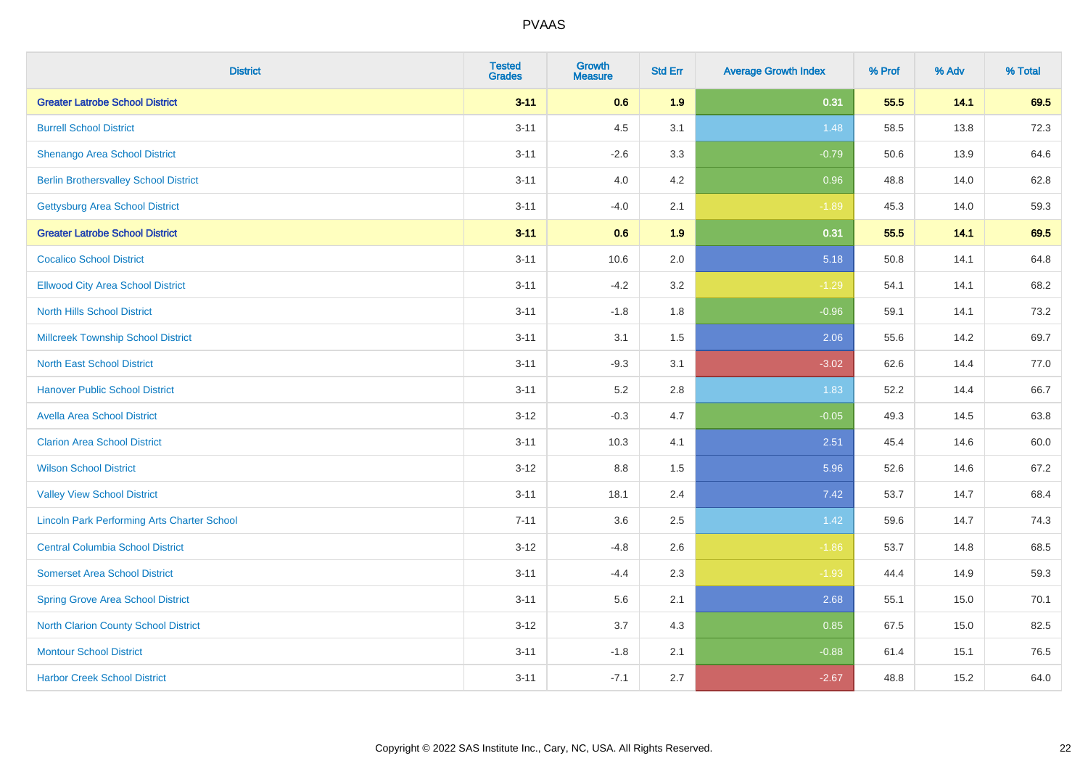| <b>District</b>                                    | <b>Tested</b><br><b>Grades</b> | <b>Growth</b><br><b>Measure</b> | <b>Std Err</b> | <b>Average Growth Index</b> | % Prof | % Adv | % Total |
|----------------------------------------------------|--------------------------------|---------------------------------|----------------|-----------------------------|--------|-------|---------|
| <b>Greater Latrobe School District</b>             | $3 - 11$                       | 0.6                             | 1.9            | 0.31                        | 55.5   | 14.1  | 69.5    |
| <b>Burrell School District</b>                     | $3 - 11$                       | 4.5                             | 3.1            | 1.48                        | 58.5   | 13.8  | 72.3    |
| Shenango Area School District                      | $3 - 11$                       | $-2.6$                          | 3.3            | $-0.79$                     | 50.6   | 13.9  | 64.6    |
| <b>Berlin Brothersvalley School District</b>       | $3 - 11$                       | 4.0                             | 4.2            | 0.96                        | 48.8   | 14.0  | 62.8    |
| <b>Gettysburg Area School District</b>             | $3 - 11$                       | $-4.0$                          | 2.1            | $-1.89$                     | 45.3   | 14.0  | 59.3    |
| <b>Greater Latrobe School District</b>             | $3 - 11$                       | 0.6                             | 1.9            | 0.31                        | 55.5   | 14.1  | 69.5    |
| <b>Cocalico School District</b>                    | $3 - 11$                       | 10.6                            | 2.0            | 5.18                        | 50.8   | 14.1  | 64.8    |
| <b>Ellwood City Area School District</b>           | $3 - 11$                       | $-4.2$                          | 3.2            | $-1.29$                     | 54.1   | 14.1  | 68.2    |
| <b>North Hills School District</b>                 | $3 - 11$                       | $-1.8$                          | 1.8            | $-0.96$                     | 59.1   | 14.1  | 73.2    |
| <b>Millcreek Township School District</b>          | $3 - 11$                       | 3.1                             | 1.5            | 2.06                        | 55.6   | 14.2  | 69.7    |
| <b>North East School District</b>                  | $3 - 11$                       | $-9.3$                          | 3.1            | $-3.02$                     | 62.6   | 14.4  | 77.0    |
| <b>Hanover Public School District</b>              | $3 - 11$                       | 5.2                             | 2.8            | 1.83                        | 52.2   | 14.4  | 66.7    |
| <b>Avella Area School District</b>                 | $3-12$                         | $-0.3$                          | 4.7            | $-0.05$                     | 49.3   | 14.5  | 63.8    |
| <b>Clarion Area School District</b>                | $3 - 11$                       | 10.3                            | 4.1            | 2.51                        | 45.4   | 14.6  | 60.0    |
| <b>Wilson School District</b>                      | $3 - 12$                       | 8.8                             | 1.5            | 5.96                        | 52.6   | 14.6  | 67.2    |
| <b>Valley View School District</b>                 | $3 - 11$                       | 18.1                            | 2.4            | 7.42                        | 53.7   | 14.7  | 68.4    |
| <b>Lincoln Park Performing Arts Charter School</b> | $7 - 11$                       | 3.6                             | 2.5            | $1.42$                      | 59.6   | 14.7  | 74.3    |
| <b>Central Columbia School District</b>            | $3 - 12$                       | $-4.8$                          | 2.6            | $-1.86$                     | 53.7   | 14.8  | 68.5    |
| <b>Somerset Area School District</b>               | $3 - 11$                       | $-4.4$                          | 2.3            | $-1.93$                     | 44.4   | 14.9  | 59.3    |
| <b>Spring Grove Area School District</b>           | $3 - 11$                       | 5.6                             | 2.1            | 2.68                        | 55.1   | 15.0  | 70.1    |
| <b>North Clarion County School District</b>        | $3 - 12$                       | 3.7                             | 4.3            | 0.85                        | 67.5   | 15.0  | 82.5    |
| <b>Montour School District</b>                     | $3 - 11$                       | $-1.8$                          | 2.1            | $-0.88$                     | 61.4   | 15.1  | 76.5    |
| <b>Harbor Creek School District</b>                | $3 - 11$                       | $-7.1$                          | 2.7            | $-2.67$                     | 48.8   | 15.2  | 64.0    |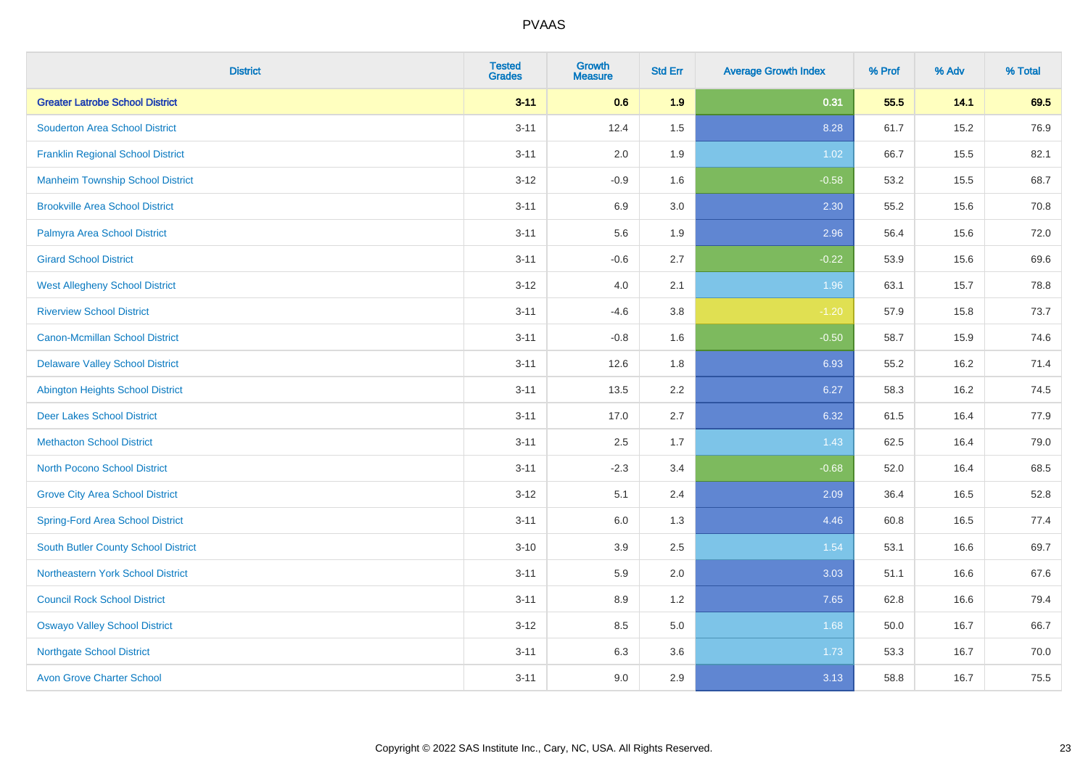| <b>District</b>                            | <b>Tested</b><br><b>Grades</b> | Growth<br><b>Measure</b> | <b>Std Err</b> | <b>Average Growth Index</b> | % Prof | % Adv | % Total |
|--------------------------------------------|--------------------------------|--------------------------|----------------|-----------------------------|--------|-------|---------|
| <b>Greater Latrobe School District</b>     | $3 - 11$                       | 0.6                      | 1.9            | 0.31                        | 55.5   | 14.1  | 69.5    |
| <b>Souderton Area School District</b>      | $3 - 11$                       | 12.4                     | 1.5            | 8.28                        | 61.7   | 15.2  | 76.9    |
| <b>Franklin Regional School District</b>   | $3 - 11$                       | 2.0                      | 1.9            | 1.02                        | 66.7   | 15.5  | 82.1    |
| <b>Manheim Township School District</b>    | $3 - 12$                       | $-0.9$                   | 1.6            | $-0.58$                     | 53.2   | 15.5  | 68.7    |
| <b>Brookville Area School District</b>     | $3 - 11$                       | 6.9                      | 3.0            | 2.30                        | 55.2   | 15.6  | 70.8    |
| Palmyra Area School District               | $3 - 11$                       | 5.6                      | 1.9            | 2.96                        | 56.4   | 15.6  | 72.0    |
| <b>Girard School District</b>              | $3 - 11$                       | $-0.6$                   | 2.7            | $-0.22$                     | 53.9   | 15.6  | 69.6    |
| <b>West Allegheny School District</b>      | $3 - 12$                       | $4.0\,$                  | 2.1            | 1.96                        | 63.1   | 15.7  | 78.8    |
| <b>Riverview School District</b>           | $3 - 11$                       | $-4.6$                   | 3.8            | $-1.20$                     | 57.9   | 15.8  | 73.7    |
| <b>Canon-Mcmillan School District</b>      | $3 - 11$                       | $-0.8$                   | 1.6            | $-0.50$                     | 58.7   | 15.9  | 74.6    |
| <b>Delaware Valley School District</b>     | $3 - 11$                       | 12.6                     | 1.8            | 6.93                        | 55.2   | 16.2  | 71.4    |
| <b>Abington Heights School District</b>    | $3 - 11$                       | 13.5                     | 2.2            | 6.27                        | 58.3   | 16.2  | 74.5    |
| <b>Deer Lakes School District</b>          | $3 - 11$                       | 17.0                     | 2.7            | 6.32                        | 61.5   | 16.4  | 77.9    |
| <b>Methacton School District</b>           | $3 - 11$                       | 2.5                      | 1.7            | 1.43                        | 62.5   | 16.4  | 79.0    |
| <b>North Pocono School District</b>        | $3 - 11$                       | $-2.3$                   | 3.4            | $-0.68$                     | 52.0   | 16.4  | 68.5    |
| <b>Grove City Area School District</b>     | $3-12$                         | 5.1                      | 2.4            | 2.09                        | 36.4   | 16.5  | 52.8    |
| <b>Spring-Ford Area School District</b>    | $3 - 11$                       | 6.0                      | 1.3            | 4.46                        | 60.8   | 16.5  | 77.4    |
| <b>South Butler County School District</b> | $3 - 10$                       | 3.9                      | 2.5            | 1.54                        | 53.1   | 16.6  | 69.7    |
| Northeastern York School District          | $3 - 11$                       | 5.9                      | 2.0            | 3.03                        | 51.1   | 16.6  | 67.6    |
| <b>Council Rock School District</b>        | $3 - 11$                       | 8.9                      | 1.2            | 7.65                        | 62.8   | 16.6  | 79.4    |
| <b>Oswayo Valley School District</b>       | $3 - 12$                       | 8.5                      | 5.0            | 1.68                        | 50.0   | 16.7  | 66.7    |
| <b>Northgate School District</b>           | $3 - 11$                       | 6.3                      | 3.6            | 1.73                        | 53.3   | 16.7  | 70.0    |
| <b>Avon Grove Charter School</b>           | $3 - 11$                       | 9.0                      | 2.9            | 3.13                        | 58.8   | 16.7  | 75.5    |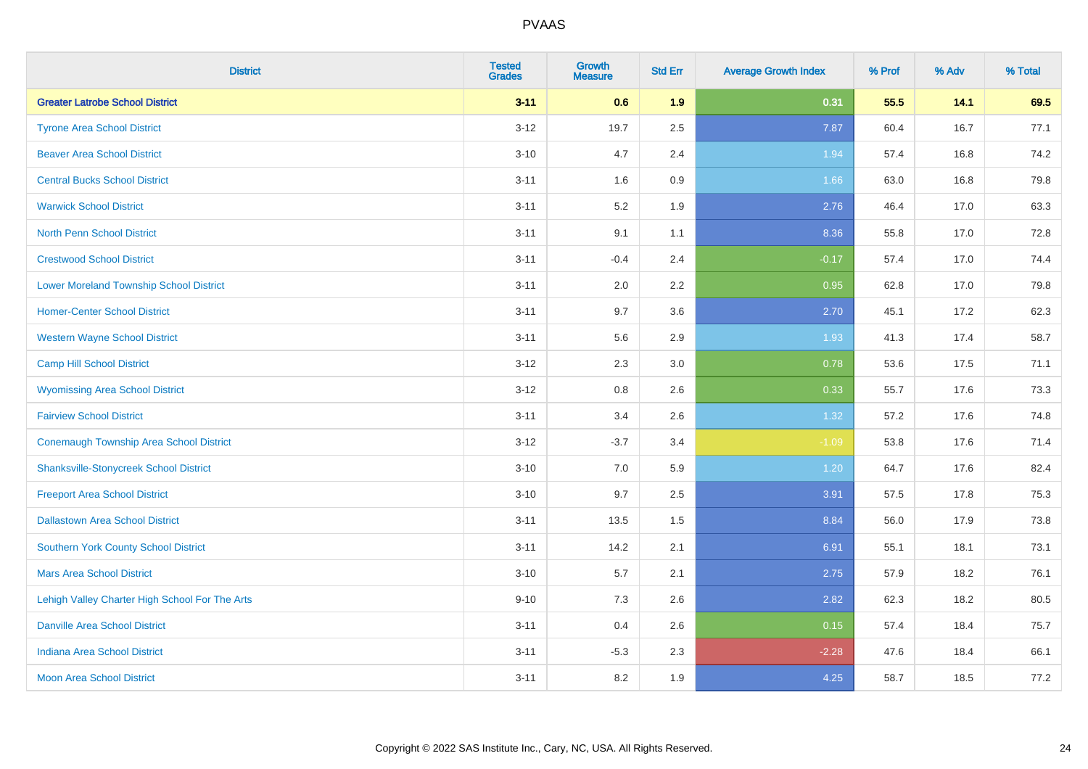| <b>District</b>                                | <b>Tested</b><br><b>Grades</b> | <b>Growth</b><br><b>Measure</b> | <b>Std Err</b> | <b>Average Growth Index</b> | % Prof | % Adv | % Total |
|------------------------------------------------|--------------------------------|---------------------------------|----------------|-----------------------------|--------|-------|---------|
| <b>Greater Latrobe School District</b>         | $3 - 11$                       | 0.6                             | 1.9            | 0.31                        | 55.5   | 14.1  | 69.5    |
| <b>Tyrone Area School District</b>             | $3 - 12$                       | 19.7                            | 2.5            | 7.87                        | 60.4   | 16.7  | 77.1    |
| <b>Beaver Area School District</b>             | $3 - 10$                       | 4.7                             | 2.4            | 1.94                        | 57.4   | 16.8  | 74.2    |
| <b>Central Bucks School District</b>           | $3 - 11$                       | 1.6                             | $0.9\,$        | 1.66                        | 63.0   | 16.8  | 79.8    |
| <b>Warwick School District</b>                 | $3 - 11$                       | 5.2                             | 1.9            | 2.76                        | 46.4   | 17.0  | 63.3    |
| <b>North Penn School District</b>              | $3 - 11$                       | 9.1                             | 1.1            | 8.36                        | 55.8   | 17.0  | 72.8    |
| <b>Crestwood School District</b>               | $3 - 11$                       | $-0.4$                          | 2.4            | $-0.17$                     | 57.4   | 17.0  | 74.4    |
| <b>Lower Moreland Township School District</b> | $3 - 11$                       | 2.0                             | 2.2            | 0.95                        | 62.8   | 17.0  | 79.8    |
| <b>Homer-Center School District</b>            | $3 - 11$                       | 9.7                             | 3.6            | 2.70                        | 45.1   | 17.2  | 62.3    |
| <b>Western Wayne School District</b>           | $3 - 11$                       | 5.6                             | 2.9            | 1.93                        | 41.3   | 17.4  | 58.7    |
| <b>Camp Hill School District</b>               | $3 - 12$                       | 2.3                             | 3.0            | 0.78                        | 53.6   | 17.5  | 71.1    |
| <b>Wyomissing Area School District</b>         | $3-12$                         | 0.8                             | 2.6            | 0.33                        | 55.7   | 17.6  | 73.3    |
| <b>Fairview School District</b>                | $3 - 11$                       | 3.4                             | 2.6            | 1.32                        | 57.2   | 17.6  | 74.8    |
| <b>Conemaugh Township Area School District</b> | $3 - 12$                       | $-3.7$                          | 3.4            | $-1.09$                     | 53.8   | 17.6  | 71.4    |
| <b>Shanksville-Stonycreek School District</b>  | $3 - 10$                       | 7.0                             | 5.9            | 1.20                        | 64.7   | 17.6  | 82.4    |
| <b>Freeport Area School District</b>           | $3 - 10$                       | 9.7                             | 2.5            | 3.91                        | 57.5   | 17.8  | 75.3    |
| <b>Dallastown Area School District</b>         | $3 - 11$                       | 13.5                            | 1.5            | 8.84                        | 56.0   | 17.9  | 73.8    |
| Southern York County School District           | $3 - 11$                       | 14.2                            | 2.1            | 6.91                        | 55.1   | 18.1  | 73.1    |
| <b>Mars Area School District</b>               | $3 - 10$                       | 5.7                             | 2.1            | 2.75                        | 57.9   | 18.2  | 76.1    |
| Lehigh Valley Charter High School For The Arts | $9 - 10$                       | 7.3                             | 2.6            | 2.82                        | 62.3   | 18.2  | 80.5    |
| <b>Danville Area School District</b>           | $3 - 11$                       | 0.4                             | 2.6            | 0.15                        | 57.4   | 18.4  | 75.7    |
| <b>Indiana Area School District</b>            | $3 - 11$                       | $-5.3$                          | 2.3            | $-2.28$                     | 47.6   | 18.4  | 66.1    |
| <b>Moon Area School District</b>               | $3 - 11$                       | 8.2                             | 1.9            | 4.25                        | 58.7   | 18.5  | 77.2    |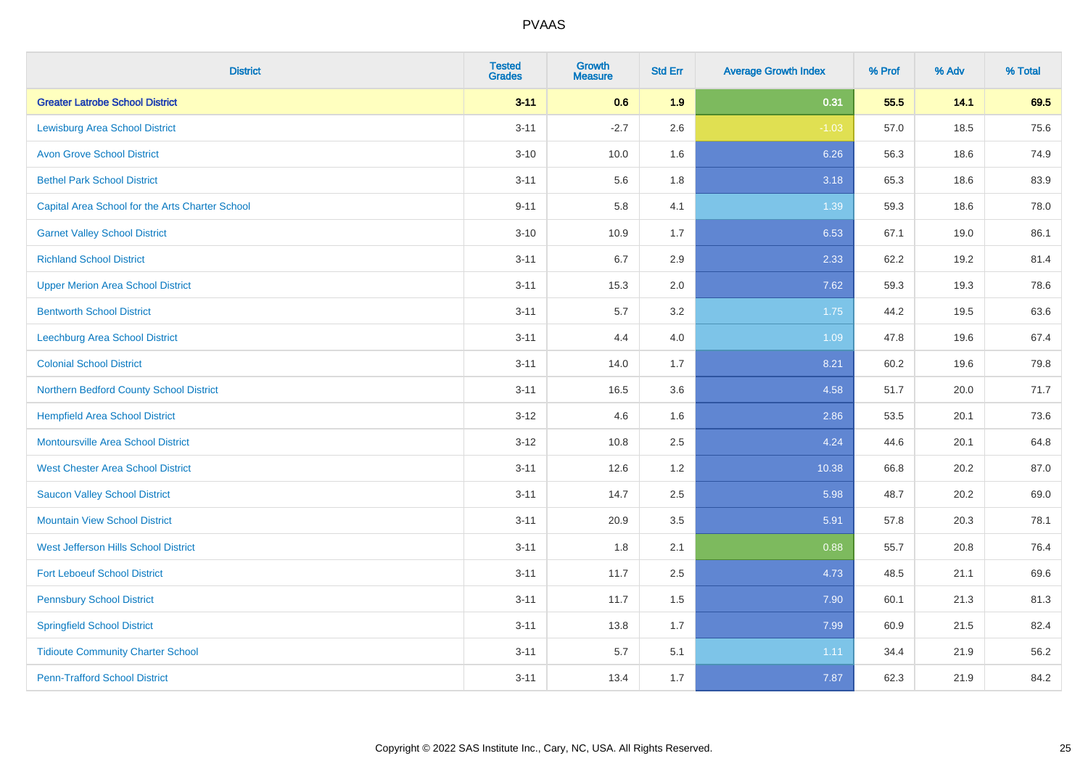| <b>District</b>                                 | <b>Tested</b><br><b>Grades</b> | <b>Growth</b><br><b>Measure</b> | <b>Std Err</b> | <b>Average Growth Index</b> | % Prof | % Adv | % Total |
|-------------------------------------------------|--------------------------------|---------------------------------|----------------|-----------------------------|--------|-------|---------|
| <b>Greater Latrobe School District</b>          | $3 - 11$                       | 0.6                             | 1.9            | 0.31                        | 55.5   | 14.1  | 69.5    |
| <b>Lewisburg Area School District</b>           | $3 - 11$                       | $-2.7$                          | 2.6            | $-1.03$                     | 57.0   | 18.5  | 75.6    |
| <b>Avon Grove School District</b>               | $3 - 10$                       | 10.0                            | 1.6            | 6.26                        | 56.3   | 18.6  | 74.9    |
| <b>Bethel Park School District</b>              | $3 - 11$                       | 5.6                             | 1.8            | 3.18                        | 65.3   | 18.6  | 83.9    |
| Capital Area School for the Arts Charter School | $9 - 11$                       | 5.8                             | 4.1            | 1.39                        | 59.3   | 18.6  | 78.0    |
| <b>Garnet Valley School District</b>            | $3 - 10$                       | 10.9                            | 1.7            | 6.53                        | 67.1   | 19.0  | 86.1    |
| <b>Richland School District</b>                 | $3 - 11$                       | 6.7                             | 2.9            | 2.33                        | 62.2   | 19.2  | 81.4    |
| <b>Upper Merion Area School District</b>        | $3 - 11$                       | 15.3                            | 2.0            | 7.62                        | 59.3   | 19.3  | 78.6    |
| <b>Bentworth School District</b>                | $3 - 11$                       | 5.7                             | 3.2            | 1.75                        | 44.2   | 19.5  | 63.6    |
| <b>Leechburg Area School District</b>           | $3 - 11$                       | 4.4                             | 4.0            | 1.09                        | 47.8   | 19.6  | 67.4    |
| <b>Colonial School District</b>                 | $3 - 11$                       | 14.0                            | 1.7            | 8.21                        | 60.2   | 19.6  | 79.8    |
| Northern Bedford County School District         | $3 - 11$                       | 16.5                            | 3.6            | 4.58                        | 51.7   | 20.0  | 71.7    |
| <b>Hempfield Area School District</b>           | $3 - 12$                       | 4.6                             | 1.6            | 2.86                        | 53.5   | 20.1  | 73.6    |
| <b>Montoursville Area School District</b>       | $3-12$                         | 10.8                            | 2.5            | 4.24                        | 44.6   | 20.1  | 64.8    |
| <b>West Chester Area School District</b>        | $3 - 11$                       | 12.6                            | 1.2            | 10.38                       | 66.8   | 20.2  | 87.0    |
| <b>Saucon Valley School District</b>            | $3 - 11$                       | 14.7                            | 2.5            | 5.98                        | 48.7   | 20.2  | 69.0    |
| <b>Mountain View School District</b>            | $3 - 11$                       | 20.9                            | 3.5            | 5.91                        | 57.8   | 20.3  | 78.1    |
| West Jefferson Hills School District            | $3 - 11$                       | 1.8                             | 2.1            | 0.88                        | 55.7   | 20.8  | 76.4    |
| <b>Fort Leboeuf School District</b>             | $3 - 11$                       | 11.7                            | 2.5            | 4.73                        | 48.5   | 21.1  | 69.6    |
| <b>Pennsbury School District</b>                | $3 - 11$                       | 11.7                            | 1.5            | 7.90                        | 60.1   | 21.3  | 81.3    |
| <b>Springfield School District</b>              | $3 - 11$                       | 13.8                            | 1.7            | 7.99                        | 60.9   | 21.5  | 82.4    |
| <b>Tidioute Community Charter School</b>        | $3 - 11$                       | 5.7                             | 5.1            | 1.11                        | 34.4   | 21.9  | 56.2    |
| <b>Penn-Trafford School District</b>            | $3 - 11$                       | 13.4                            | 1.7            | 7.87                        | 62.3   | 21.9  | 84.2    |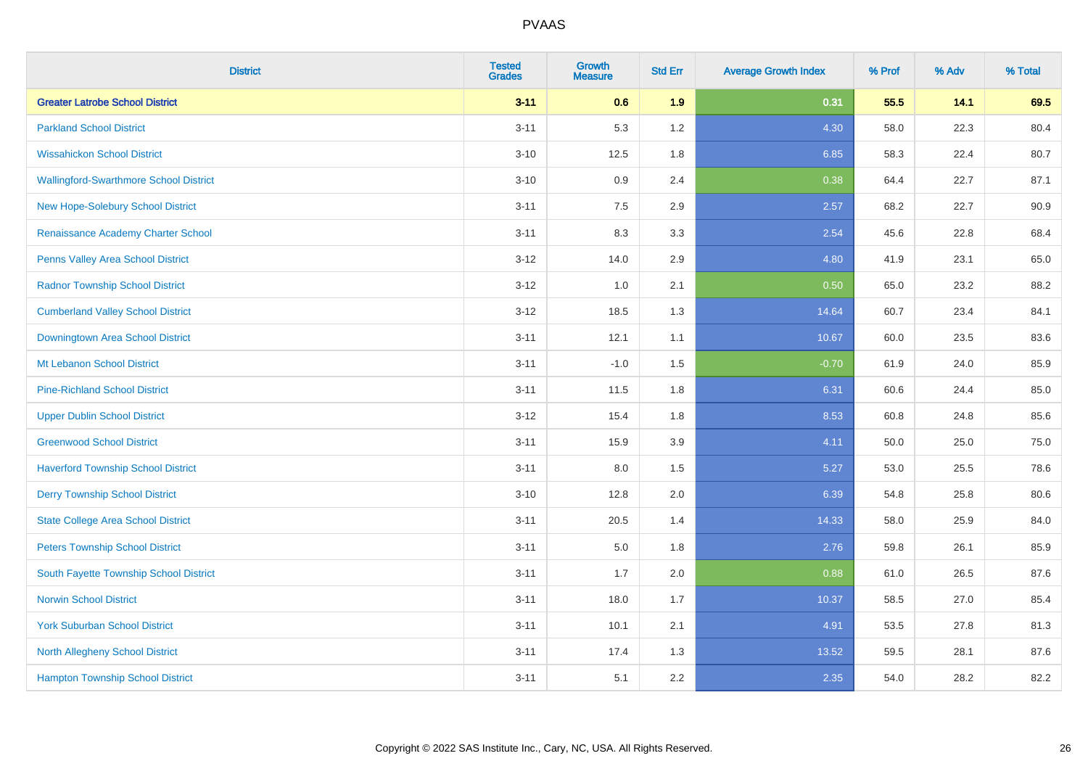| <b>District</b>                               | <b>Tested</b><br><b>Grades</b> | <b>Growth</b><br><b>Measure</b> | <b>Std Err</b> | <b>Average Growth Index</b> | % Prof | % Adv | % Total |
|-----------------------------------------------|--------------------------------|---------------------------------|----------------|-----------------------------|--------|-------|---------|
| <b>Greater Latrobe School District</b>        | $3 - 11$                       | 0.6                             | 1.9            | 0.31                        | 55.5   | 14.1  | 69.5    |
| <b>Parkland School District</b>               | $3 - 11$                       | 5.3                             | 1.2            | 4.30                        | 58.0   | 22.3  | 80.4    |
| <b>Wissahickon School District</b>            | $3 - 10$                       | 12.5                            | 1.8            | 6.85                        | 58.3   | 22.4  | 80.7    |
| <b>Wallingford-Swarthmore School District</b> | $3 - 10$                       | 0.9                             | 2.4            | 0.38                        | 64.4   | 22.7  | 87.1    |
| New Hope-Solebury School District             | $3 - 11$                       | 7.5                             | 2.9            | 2.57                        | 68.2   | 22.7  | 90.9    |
| Renaissance Academy Charter School            | $3 - 11$                       | 8.3                             | 3.3            | 2.54                        | 45.6   | 22.8  | 68.4    |
| <b>Penns Valley Area School District</b>      | $3-12$                         | 14.0                            | 2.9            | 4.80                        | 41.9   | 23.1  | 65.0    |
| <b>Radnor Township School District</b>        | $3 - 12$                       | 1.0                             | 2.1            | 0.50                        | 65.0   | 23.2  | 88.2    |
| <b>Cumberland Valley School District</b>      | $3 - 12$                       | 18.5                            | 1.3            | 14.64                       | 60.7   | 23.4  | 84.1    |
| Downingtown Area School District              | $3 - 11$                       | 12.1                            | 1.1            | 10.67                       | 60.0   | 23.5  | 83.6    |
| Mt Lebanon School District                    | $3 - 11$                       | $-1.0$                          | 1.5            | $-0.70$                     | 61.9   | 24.0  | 85.9    |
| <b>Pine-Richland School District</b>          | $3 - 11$                       | 11.5                            | 1.8            | 6.31                        | 60.6   | 24.4  | 85.0    |
| <b>Upper Dublin School District</b>           | $3 - 12$                       | 15.4                            | 1.8            | 8.53                        | 60.8   | 24.8  | 85.6    |
| <b>Greenwood School District</b>              | $3 - 11$                       | 15.9                            | 3.9            | 4.11                        | 50.0   | 25.0  | 75.0    |
| <b>Haverford Township School District</b>     | $3 - 11$                       | 8.0                             | 1.5            | 5.27                        | 53.0   | 25.5  | 78.6    |
| <b>Derry Township School District</b>         | $3 - 10$                       | 12.8                            | 2.0            | 6.39                        | 54.8   | 25.8  | 80.6    |
| <b>State College Area School District</b>     | $3 - 11$                       | 20.5                            | 1.4            | 14.33                       | 58.0   | 25.9  | 84.0    |
| <b>Peters Township School District</b>        | $3 - 11$                       | 5.0                             | 1.8            | 2.76                        | 59.8   | 26.1  | 85.9    |
| South Fayette Township School District        | $3 - 11$                       | 1.7                             | 2.0            | 0.88                        | 61.0   | 26.5  | 87.6    |
| <b>Norwin School District</b>                 | $3 - 11$                       | 18.0                            | 1.7            | 10.37                       | 58.5   | 27.0  | 85.4    |
| <b>York Suburban School District</b>          | $3 - 11$                       | 10.1                            | 2.1            | 4.91                        | 53.5   | 27.8  | 81.3    |
| <b>North Allegheny School District</b>        | $3 - 11$                       | 17.4                            | 1.3            | 13.52                       | 59.5   | 28.1  | 87.6    |
| <b>Hampton Township School District</b>       | $3 - 11$                       | 5.1                             | 2.2            | 2.35                        | 54.0   | 28.2  | 82.2    |